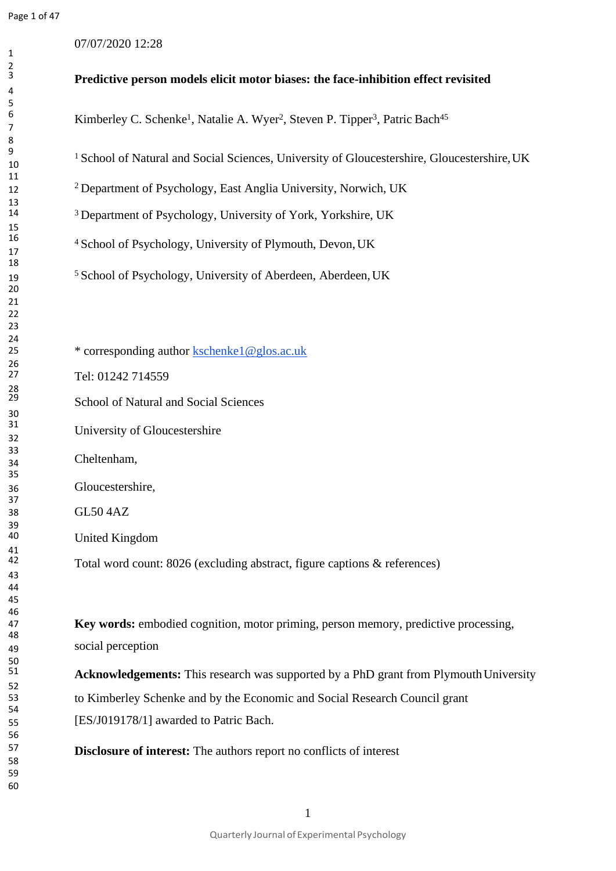07/07/2020 12:28

# **Predictive person models elicit motor biases: the face-inhibition effect revisited** <sup>6</sup><br>Kimberley C. Schenke<sup>1</sup>, Natalie A. Wyer<sup>2</sup>, Steven P. Tipper<sup>3</sup>, Patric Bach<sup>45</sup> <sup>1</sup> School of Natural and Social Sciences, University of Gloucestershire, Gloucestershire, UK <sup>2</sup>Department of Psychology, East Anglia University, Norwich, UK <sup>3</sup> Department of Psychology, University of York, Yorkshire, UK <sup>4</sup> School of Psychology, University of Plymouth, Devon, UK <sup>5</sup>School of Psychology, University of Aberdeen, Aberdeen,UK \* corresponding author [kschenke1@glos.ac.uk](mailto:kschenke1@glos.ac.uk) Tel: 01242 714559 School of Natural and Social Sciences University of Gloucestershire Cheltenham, Gloucestershire, GL50 4AZ United Kingdom Total word count: 8026 (excluding abstract, figure captions & references)

 **Key words:** embodied cognition, motor priming, person memory, predictive processing, social perception

**Acknowledgements:** This research was supported by a PhD grant from Plymouth University to Kimberley Schenke and by the Economic and Social Research Council grant [ES/J019178/1] awarded to Patric Bach.

**Disclosure of interest:** The authors report no conflicts of interest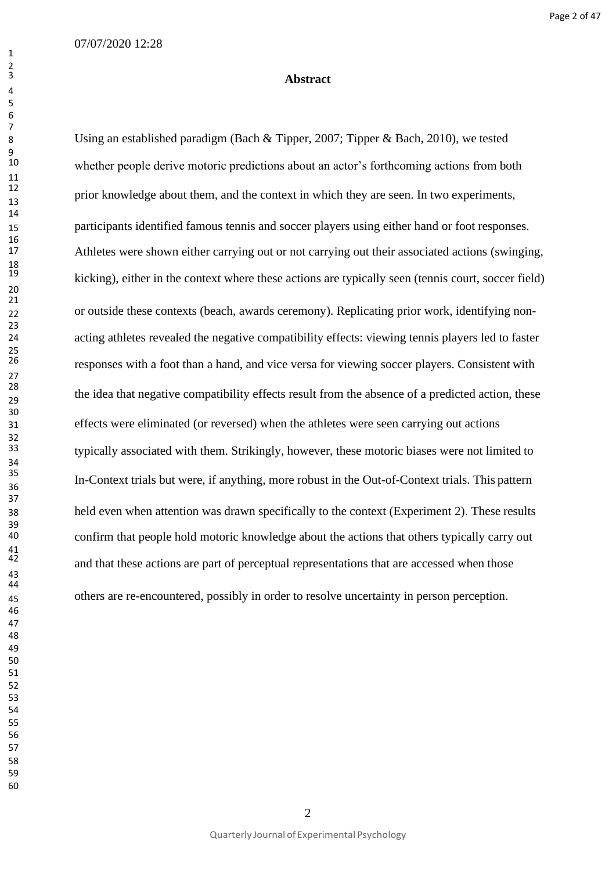## **Abstract**

 Using an established paradigm (Bach & Tipper, 2007; Tipper & Bach, 2010), we tested whether people derive motoric predictions about an actor's forthcoming actions from both prior knowledge about them, and the context in which they are seen. In two experiments, participants identified famous tennis and soccer players using either hand or foot responses. Athletes were shown either carrying out or not carrying out their associated actions (swinging, kicking), either in the context where these actions are typically seen (tennis court, soccer field) or outside these contexts (beach, awards ceremony). Replicating prior work, identifying non- acting athletes revealed the negative compatibility effects: viewing tennis players led to faster responses with a foot than a hand, and vice versa for viewing soccer players. Consistent with the idea that negative compatibility effects result from the absence of a predicted action, these effects were eliminated (or reversed) when the athletes were seen carrying out actions typically associated with them. Strikingly, however, these motoric biases were not limited to In-Context trials but were, if anything, more robust in the Out-of-Context trials. This pattern held even when attention was drawn specifically to the context (Experiment 2). These results confirm that people hold motoric knowledge about the actions that others typically carry out and that these actions are part of perceptual representations that are accessed when those others are re-encountered, possibly in order to resolve uncertainty in person perception.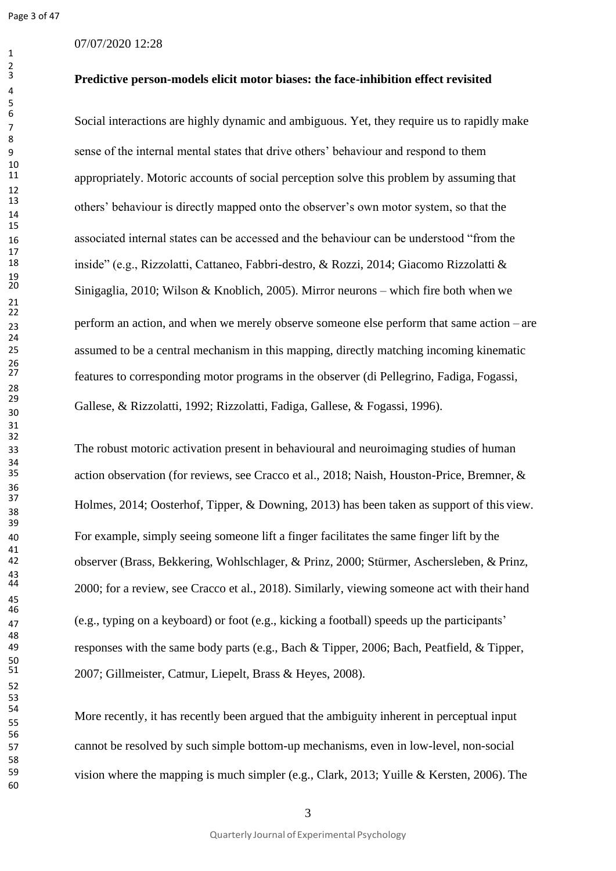Page 3 of 47

## 07/07/2020 12:28

**Predictive person-models elicit motor biases: the face-inhibition effect revisited**

Social interactions are highly dynamic and ambiguous. Yet, they require us to rapidly make sense of the internal mental states that drive others' behaviour and respond to them appropriately. Motoric accounts of social perception solve this problem by assuming that others' behaviour is directly mapped onto the observer's own motor system, so that the associated internal states can be accessed and the behaviour can be understood "from the inside" (e.g., Rizzolatti, Cattaneo, Fabbri-destro, & Rozzi, 2014; Giacomo Rizzolatti & Sinigaglia, 2010; Wilson & Knoblich, 2005). Mirror neurons – which fire both when we perform an action, and when we merely observe someone else perform that same action – are assumed to be a central mechanism in this mapping, directly matching incoming kinematic features to corresponding motor programs in the observer (di Pellegrino, Fadiga, Fogassi, Gallese, & Rizzolatti, 1992; Rizzolatti, Fadiga, Gallese, & Fogassi, 1996).

 The robust motoric activation present in behavioural and neuroimaging studies of human action observation (for reviews, see Cracco et al., 2018; Naish, Houston-Price, Bremner, & Holmes, 2014; Oosterhof, Tipper, & Downing, 2013) has been taken as support of this view. For example, simply seeing someone lift a finger facilitates the same finger lift by the observer (Brass, Bekkering, Wohlschlager, & Prinz, 2000; Stürmer, Aschersleben, & Prinz, 2000; for a review, see Cracco et al., 2018). Similarly, viewing someone act with their hand (e.g., typing on a keyboard) or foot (e.g., kicking a football) speeds up the participants' responses with the same body parts (e.g., Bach & Tipper, 2006; Bach, Peatfield, & Tipper, 2007; Gillmeister, Catmur, Liepelt, Brass & Heyes, 2008).

More recently, it has recently been argued that the ambiguity inherent in perceptual input cannot be resolved by such simple bottom-up mechanisms, even in low-level, non-social vision where the mapping is much simpler (e.g., Clark, 2013; Yuille & Kersten, 2006). The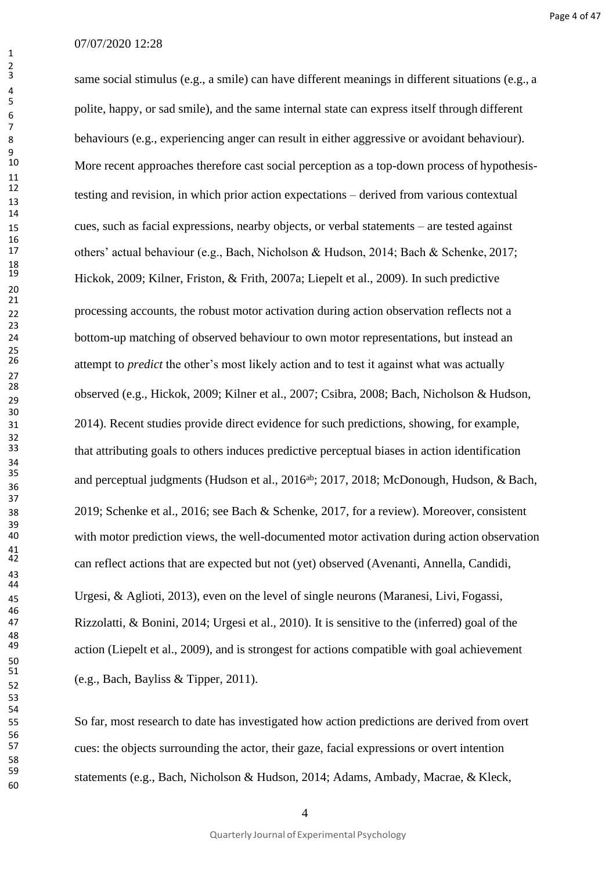same social stimulus (e.g., a smile) can have different meanings in different situations (e.g., a polite, happy, or sad smile), and the same internal state can express itself through different behaviours (e.g., experiencing anger can result in either aggressive or avoidant behaviour). More recent approaches therefore cast social perception as a top-down process of hypothesis- testing and revision, in which prior action expectations – derived from various contextual cues, such as facial expressions, nearby objects, or verbal statements – are tested against others' actual behaviour (e.g., Bach, Nicholson & Hudson, 2014; Bach & Schenke, 2017; Hickok, 2009; Kilner, Friston, & Frith, 2007a; Liepelt et al., 2009). In such predictive processing accounts, the robust motor activation during action observation reflects not a bottom-up matching of observed behaviour to own motor representations, but instead an attempt to *predict* the other's most likely action and to test it against what was actually observed (e.g., Hickok, 2009; Kilner et al., 2007; Csibra, 2008; Bach, Nicholson & Hudson, 2014). Recent studies provide direct evidence for such predictions, showing, for example, that attributing goals to others induces predictive perceptual biases in action identification and perceptual judgments (Hudson et al., 2016<sup>ab</sup>; 2017, 2018; McDonough, Hudson, & Bach, 2019; Schenke et al., 2016; see Bach & Schenke, 2017, for a review). Moreover, consistent with motor prediction views, the well-documented motor activation during action observation can reflect actions that are expected but not (yet) observed (Avenanti, Annella, Candidi, Urgesi, & Aglioti, 2013), even on the level of single neurons (Maranesi, Livi, Fogassi, Rizzolatti, & Bonini, 2014; Urgesi et al., 2010). It is sensitive to the (inferred) goal of the action (Liepelt et al., 2009), and is strongest for actions compatible with goal achievement  $(e.g., Bach, Bayliss & Tipper, 2011).$ 

 So far, most research to date has investigated how action predictions are derived from overt cues: the objects surrounding the actor, their gaze, facial expressions or overt intention statements (e.g., Bach, Nicholson & Hudson, 2014; Adams, Ambady, Macrae, & Kleck,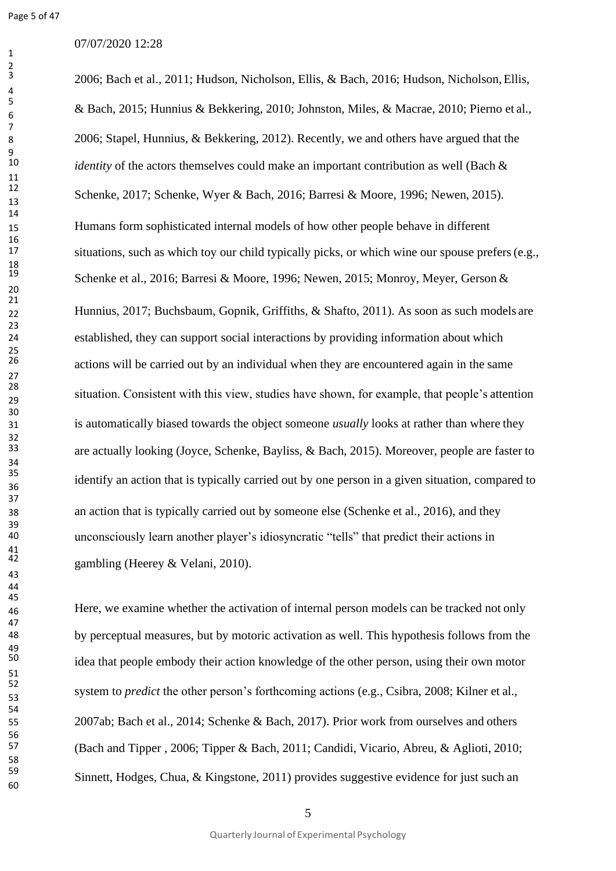## 07/07/2020 12:28

2006; Bach et al., 2011; Hudson, Nicholson, Ellis, & Bach, 2016; Hudson, Nicholson,Ellis, & Bach, 2015; Hunnius & Bekkering, 2010; Johnston, Miles, & Macrae, 2010; Pierno et al., 2006; Stapel, Hunnius, & Bekkering, 2012). Recently, we and others have argued that the *identity* of the actors themselves could make an important contribution as well (Bach & Schenke, 2017; Schenke, Wyer & Bach, 2016; Barresi & Moore, 1996; Newen, 2015). Humans form sophisticated internal models of how other people behave in different situations, such as which toy our child typically picks, or which wine our spouse prefers (e.g., Schenke et al., 2016; Barresi & Moore, 1996; Newen, 2015; Monroy, Meyer, Gerson & Hunnius, 2017; Buchsbaum, Gopnik, Griffiths, & Shafto, 2011). As soon as such models are established, they can support social interactions by providing information about which actions will be carried out by an individual when they are encountered again in the same situation. Consistent with this view, studies have shown, for example, that people's attention is automatically biased towards the object someone *usually* looks at rather than where they are actually looking (Joyce, Schenke, Bayliss, & Bach, 2015). Moreover, people are faster to identify an action that is typically carried out by one person in a given situation, compared to an action that is typically carried out by someone else (Schenke et al., 2016), and they unconsciously learn another player's idiosyncratic "tells" that predict their actions in gambling (Heerey  $&$  Velani, 2010).

 Here, we examine whether the activation of internal person models can be tracked not only by perceptual measures, but by motoric activation as well. This hypothesis follows from the idea that people embody their action knowledge of the other person, using their own motor system to *predict* the other person's forthcoming actions (e.g., Csibra, 2008; Kilner et al., 2007ab; Bach et al., 2014; Schenke & Bach, 2017). Prior work from ourselves and others (Bach and Tipper , 2006; Tipper & Bach, 2011; Candidi, Vicario, Abreu, & Aglioti, 2010; Sinnett, Hodges, Chua, & Kingstone, 2011) provides suggestive evidence for just such an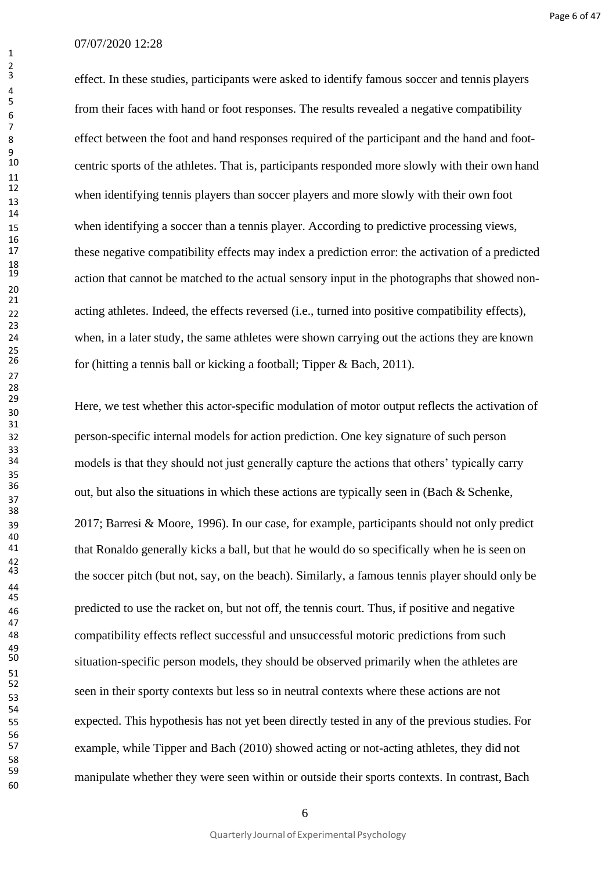effect. In these studies, participants were asked to identify famous soccer and tennis players from their faces with hand or foot responses. The results revealed a negative compatibility effect between the foot and hand responses required of the participant and the hand and footcentric sports of the athletes. That is, participants responded more slowly with their own hand when identifying tennis players than soccer players and more slowly with their own foot when identifying a soccer than a tennis player. According to predictive processing views, these negative compatibility effects may index a prediction error: the activation of a predicted action that cannot be matched to the actual sensory input in the photographs that showed non-22 acting athletes. Indeed, the effects reversed (i.e., turned into positive compatibility effects), when, in a later study, the same athletes were shown carrying out the actions they are known for (hitting a tennis ball or kicking a football; Tipper & Bach, 2011).

 Here, we test whether this actor-specific modulation of motor output reflects the activation of person-specific internal models for action prediction. One key signature of such person models is that they should not just generally capture the actions that others' typically carry out, but also the situations in which these actions are typically seen in (Bach  $&$  Schenke, 2017; Barresi & Moore, 1996). In our case, for example, participants should not only predict that Ronaldo generally kicks a ball, but that he would do so specifically when he is seen on the soccer pitch (but not, say, on the beach). Similarly, a famous tennis player should only be predicted to use the racket on, but not off, the tennis court. Thus, if positive and negative compatibility effects reflect successful and unsuccessful motoric predictions from such situation-specific person models, they should be observed primarily when the athletes are seen in their sporty contexts but less so in neutral contexts where these actions are not expected. This hypothesis has not yet been directly tested in any of the previous studies. For example, while Tipper and Bach (2010) showed acting or not-acting athletes, they did not manipulate whether they were seen within or outside their sports contexts. In contrast, Bach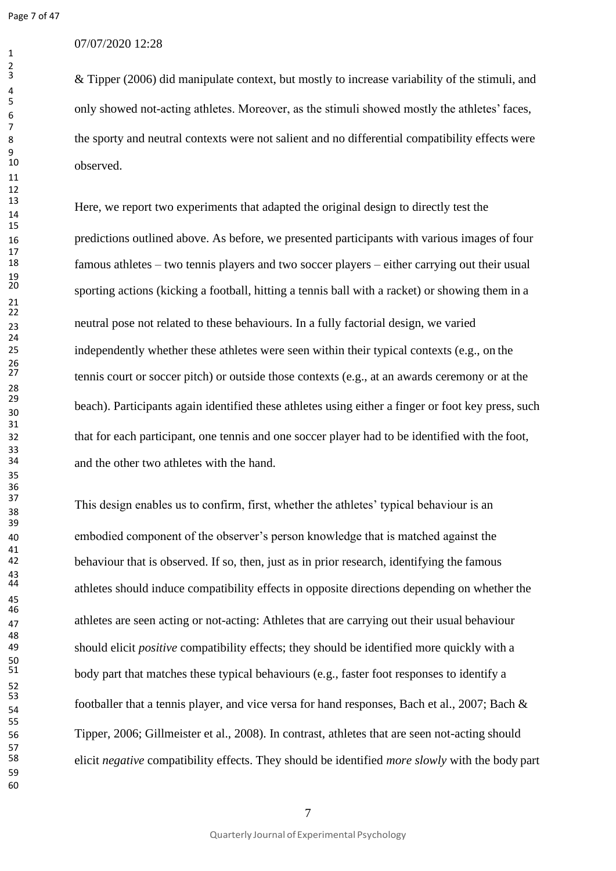$\frac{2}{3}$ 

## 07/07/2020 12:28

 & Tipper (2006) did manipulate context, but mostly to increase variability of the stimuli, and only showed not-acting athletes. Moreover, as the stimuli showed mostly the athletes' faces, the sporty and neutral contexts were not salient and no differential compatibility effects were observed.

Here, we report two experiments that adapted the original design to directly test the predictions outlined above. As before, we presented participants with various images of four famous athletes – two tennis players and two soccer players – either carrying out their usual sporting actions (kicking a football, hitting a tennis ball with a racket) or showing them in a neutral pose not related to these behaviours. In a fully factorial design, we varied independently whether these athletes were seen within their typical contexts (e.g., on the tennis court or soccer pitch) or outside those contexts (e.g., at an awards ceremony or at the beach). Participants again identified these athletes using either a finger or foot key press, such that for each participant, one tennis and one soccer player had to be identified with the foot, and the other two athletes with the hand.

 This design enables us to confirm, first, whether the athletes' typical behaviour is an embodied component of the observer's person knowledge that is matched against the behaviour that is observed. If so, then, just as in prior research, identifying the famous athletes should induce compatibility effects in opposite directions depending on whether the athletes are seen acting or not-acting: Athletes that are carrying out their usual behaviour should elicit *positive* compatibility effects; they should be identified more quickly with a body part that matches these typical behaviours (e.g., faster foot responses to identify a footballer that a tennis player, and vice versa for hand responses, Bach et al., 2007; Bach & Tipper, 2006; Gillmeister et al., 2008). In contrast, athletes that are seen not-acting should elicit *negative* compatibility effects. They should be identified *more slowly* with the body part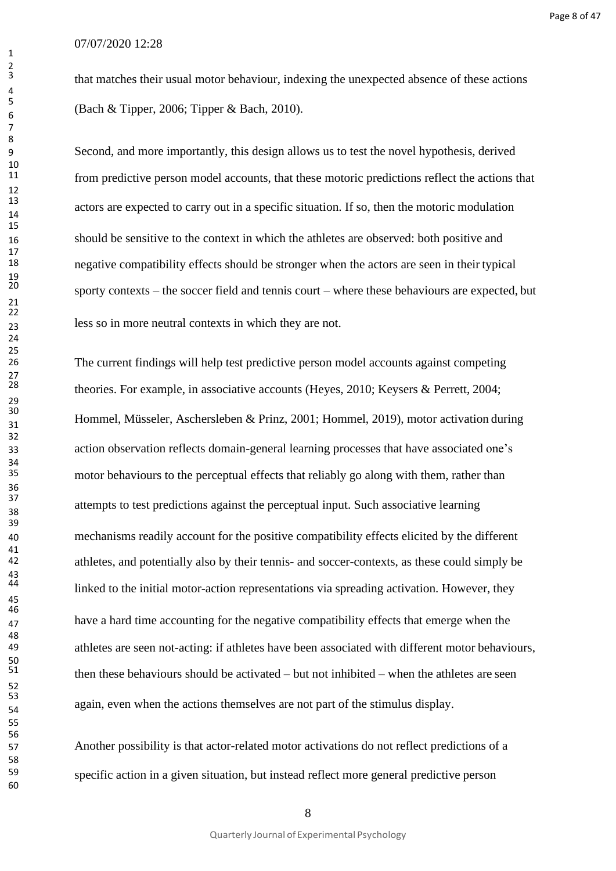that matches their usual motor behaviour, indexing the unexpected absence of these actions (Bach & Tipper, 2006; Tipper & Bach, 2010).

 Second, and more importantly, this design allows us to test the novel hypothesis, derived from predictive person model accounts, that these motoric predictions reflect the actions that actors are expected to carry out in a specific situation. If so, then the motoric modulation should be sensitive to the context in which the athletes are observed: both positive and negative compatibility effects should be stronger when the actors are seen in their typical sporty contexts – the soccer field and tennis court – where these behaviours are expected, but less so in more neutral contexts in which they are not.

 The current findings will help test predictive person model accounts against competing theories. For example, in associative accounts (Heyes, 2010; Keysers & Perrett, 2004; Hommel, Müsseler, Aschersleben & Prinz, 2001; Hommel, 2019), motor activation during action observation reflects domain-general learning processes that have associated one's motor behaviours to the perceptual effects that reliably go along with them, rather than attempts to test predictions against the perceptual input. Such associative learning mechanisms readily account for the positive compatibility effects elicited by the different athletes, and potentially also by their tennis- and soccer-contexts, as these could simply be linked to the initial motor-action representations via spreading activation. However, they have a hard time accounting for the negative compatibility effects that emerge when the athletes are seen not-acting: if athletes have been associated with different motor behaviours, then these behaviours should be activated – but not inhibited – when the athletes are seen again, even when the actions themselves are not part of the stimulus display.

 Another possibility is that actor-related motor activations do not reflect predictions of a specific action in a given situation, but instead reflect more general predictive person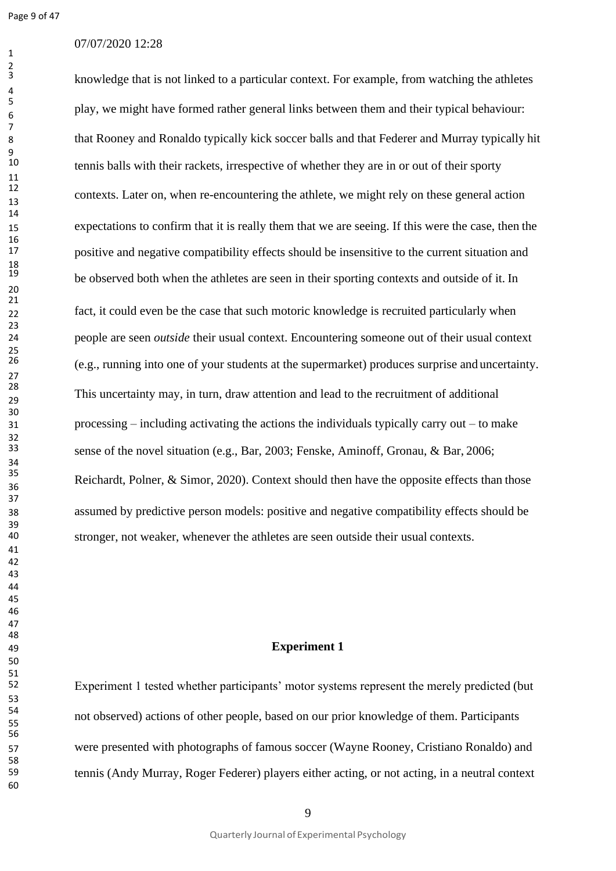## 07/07/2020 12:28

knowledge that is not linked to a particular context. For example, from watching the athletes play, we might have formed rather general links between them and their typical behaviour: that Rooney and Ronaldo typically kick soccer balls and that Federer and Murray typically hit tennis balls with their rackets, irrespective of whether they are in or out of their sporty contexts. Later on, when re-encountering the athlete, we might rely on these general action expectations to confirm that it is really them that we are seeing. If this were the case, then the positive and negative compatibility effects should be insensitive to the current situation and be observed both when the athletes are seen in their sporting contexts and outside of it. In fact, it could even be the case that such motoric knowledge is recruited particularly when people are seen *outside* their usual context. Encountering someone out of their usual context (e.g., running into one of your students at the supermarket) produces surprise and uncertainty. This uncertainty may, in turn, draw attention and lead to the recruitment of additional processing – including activating the actions the individuals typically carry out – to make sense of the novel situation (e.g., Bar, 2003; Fenske, Aminoff, Gronau, & Bar, 2006; Reichardt, Polner, & Simor, 2020). Context should then have the opposite effects than those assumed by predictive person models: positive and negative compatibility effects should be stronger, not weaker, whenever the athletes are seen outside their usual contexts.

## **Experiment 1**

Experiment 1 tested whether participants' motor systems represent the merely predicted (but not observed) actions of other people, based on our prior knowledge of them. Participants were presented with photographs of famous soccer (Wayne Rooney, Cristiano Ronaldo) and tennis (Andy Murray, Roger Federer) players either acting, or not acting, in a neutral context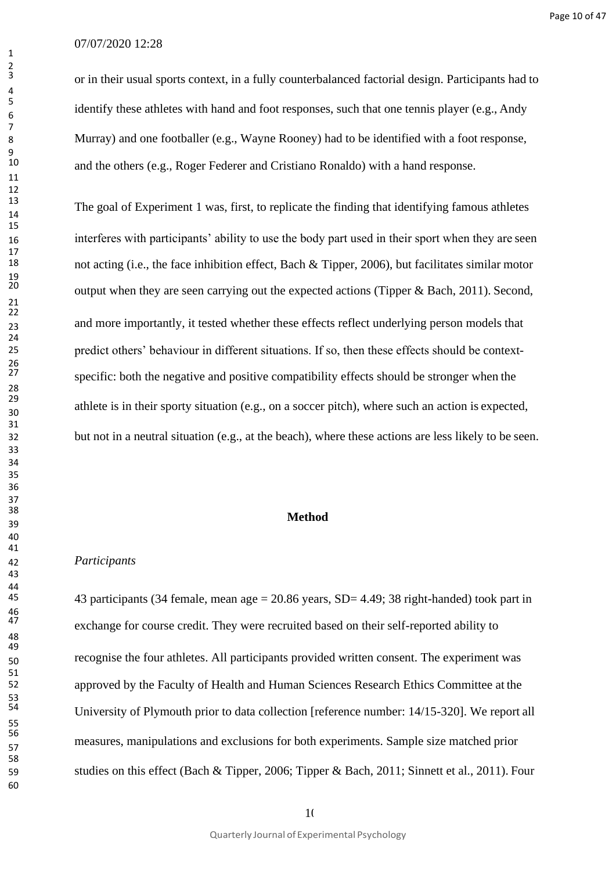or in their usual sports context, in a fully counterbalanced factorial design. Participants had to identify these athletes with hand and foot responses, such that one tennis player (e.g., Andy Murray) and one footballer (e.g., Wayne Rooney) had to be identified with a foot response, and the others (e.g., Roger Federer and Cristiano Ronaldo) with a hand response.

The goal of Experiment 1 was, first, to replicate the finding that identifying famous athletes interferes with participants' ability to use the body part used in their sport when they are seen not acting (i.e., the face inhibition effect, Bach & Tipper, 2006), but facilitates similar motor output when they are seen carrying out the expected actions (Tipper & Bach, 2011). Second, and more importantly, it tested whether these effects reflect underlying person models that predict others' behaviour in different situations. If so, then these effects should be context- specific: both the negative and positive compatibility effects should be stronger when the athlete is in their sporty situation (e.g., on a soccer pitch), where such an action is expected, but not in a neutral situation (e.g., at the beach), where these actions are less likely to be seen.

# **Method**

## *Participants*

 43 participants (34 female, mean age = 20.86 years, SD= 4.49; 38 right-handed) took part in exchange for course credit. They were recruited based on their self-reported ability to recognise the four athletes. All participants provided written consent. The experiment was approved by the Faculty of Health and Human Sciences Research Ethics Committee at the University of Plymouth prior to data collection [reference number: 14/15-320]. We report all measures, manipulations and exclusions for both experiments. Sample size matched prior studies on this effect (Bach & Tipper, 2006; Tipper & Bach, 2011; Sinnett et al., 2011). Four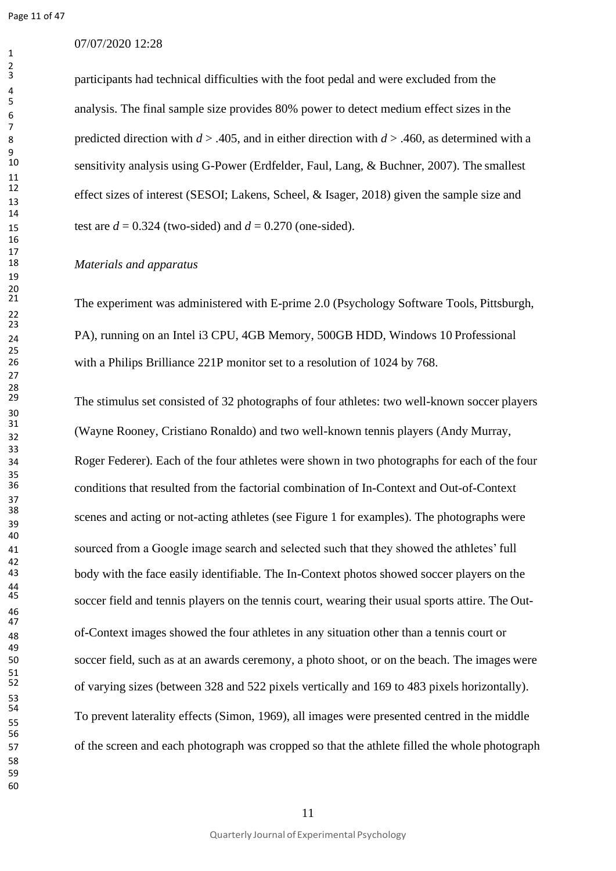Page 11 of 47

## 07/07/2020 12:28

participants had technical difficulties with the foot pedal and were excluded from the analysis. The final sample size provides 80% power to detect medium effect sizes in the predicted direction with *d* > .405, and in either direction with *d* > .460, as determined with a sensitivity analysis using G-Power (Erdfelder, Faul, Lang, & Buchner, 2007). The smallest effect sizes of interest (SESOI; Lakens, Scheel, & Isager, 2018) given the sample size and 15 test are  $d = 0.324$  (two-sided) and  $d = 0.270$  (one-sided).

#### *Materials and apparatus*

The experiment was administered with E-prime 2.0 (Psychology Software Tools, Pittsburgh, PA), running on an Intel i3 CPU, 4GB Memory, 500GB HDD, Windows 10 Professional with a Philips Brilliance 221P monitor set to a resolution of 1024 by 768.

The stimulus set consisted of 32 photographs of four athletes: two well-known soccer players (Wayne Rooney, Cristiano Ronaldo) and two well-known tennis players (Andy Murray, Roger Federer). Each of the four athletes were shown in two photographs for each of the four conditions that resulted from the factorial combination of In-Context and Out-of-Context scenes and acting or not-acting athletes (see Figure 1 for examples). The photographs were sourced from a Google image search and selected such that they showed the athletes' full body with the face easily identifiable. The In-Context photos showed soccer players on the soccer field and tennis players on the tennis court, wearing their usual sports attire. The Out- of-Context images showed the four athletes in any situation other than a tennis court or soccer field, such as at an awards ceremony, a photo shoot, or on the beach. The images were of varying sizes (between 328 and 522 pixels vertically and 169 to 483 pixels horizontally). To prevent laterality effects (Simon, 1969), all images were presented centred in the middle of the screen and each photograph was cropped so that the athlete filled the whole photograph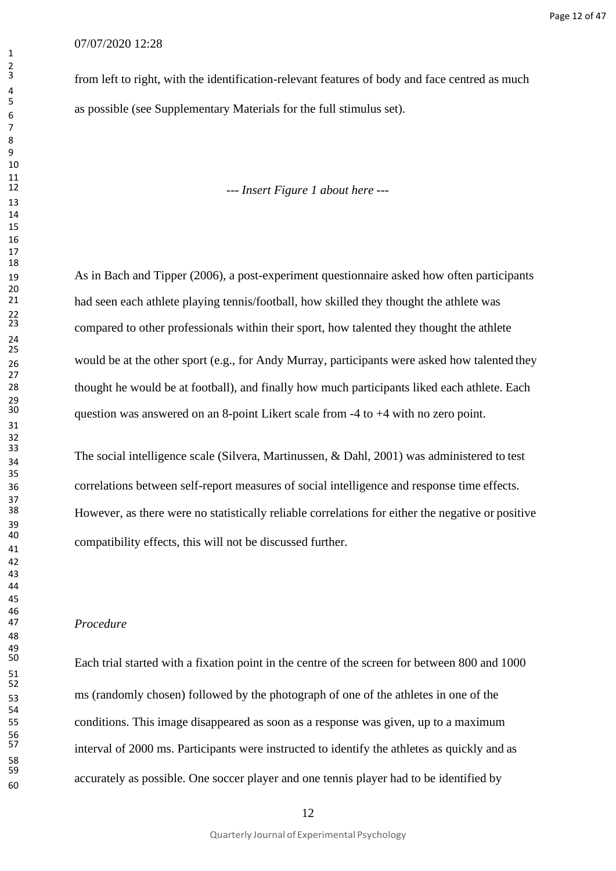from left to right, with the identification-relevant features of body and face centred as much as possible (see Supplementary Materials for the full stimulus set).

*--- Insert Figure 1 about here ---*

 As in Bach and Tipper (2006), a post-experiment questionnaire asked how often participants had seen each athlete playing tennis/football, how skilled they thought the athlete was compared to other professionals within their sport, how talented they thought the athlete 26 would be at the other sport (e.g., for Andy Murray, participants were asked how talented they thought he would be at football), and finally how much participants liked each athlete. Each question was answered on an 8-point Likert scale from  $-4$  to  $+4$  with no zero point.

The social intelligence scale (Silvera, Martinussen,  $\&$  Dahl, 2001) was administered to test correlations between self-report measures of social intelligence and response time effects. However, as there were no statistically reliable correlations for either the negative or positive compatibility effects, this will not be discussed further.

#### *Procedure*

 Each trial started with a fixation point in the centre of the screen for between 800 and 1000 ms (randomly chosen) followed by the photograph of one of the athletes in one of the conditions. This image disappeared as soon as a response was given, up to a maximum interval of 2000 ms. Participants were instructed to identify the athletes as quickly and as accurately as possible. One soccer player and one tennis player had to be identified by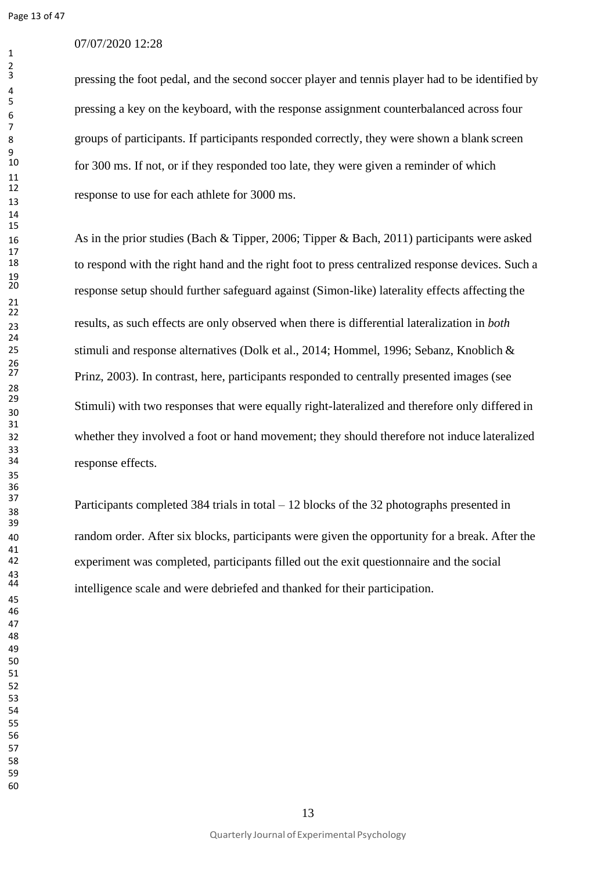Page 13 of 47

## 07/07/2020 12:28

pressing the foot pedal, and the second soccer player and tennis player had to be identified by pressing a key on the keyboard, with the response assignment counterbalanced across four groups of participants. If participants responded correctly, they were shown a blank screen for 300 ms. If not, or if they responded too late, they were given a reminder of which response to use for each athlete for 3000 ms.

 As in the prior studies (Bach & Tipper, 2006; Tipper & Bach, 2011) participants were asked to respond with the right hand and the right foot to press centralized response devices. Such a response setup should further safeguard against (Simon-like) laterality effects affecting the results, as such effects are only observed when there is differential lateralization in *both* stimuli and response alternatives (Dolk et al., 2014; Hommel, 1996; Sebanz, Knoblich & Prinz, 2003). In contrast, here, participants responded to centrally presented images (see Stimuli) with two responses that were equally right-lateralized and therefore only differed in whether they involved a foot or hand movement; they should therefore not induce lateralized response effects.

<sup>37</sup><br>Participants completed 384 trials in total – 12 blocks of the 32 photographs presented in random order. After six blocks, participants were given the opportunity for a break. After the experiment was completed, participants filled out the exit questionnaire and the social intelligence scale and were debriefed and thanked for their participation.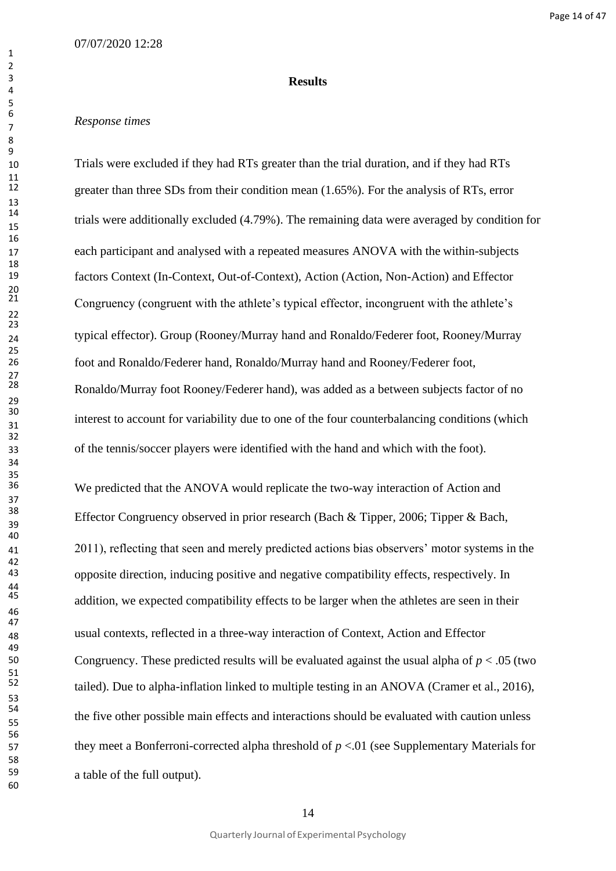#### **Results**

## *Response times*

 Trials were excluded if they had RTs greater than the trial duration, and if they had RTs greater than three SDs from their condition mean (1.65%). For the analysis of RTs, error trials were additionally excluded (4.79%). The remaining data were averaged by condition for each participant and analysed with a repeated measures ANOVA with the within-subjects factors Context (In-Context, Out-of-Context), Action (Action, Non-Action) and Effector Congruency (congruent with the athlete's typical effector, incongruent with the athlete's typical effector). Group (Rooney/Murray hand and Ronaldo/Federer foot, Rooney/Murray foot and Ronaldo/Federer hand, Ronaldo/Murray hand and Rooney/Federer foot, Ronaldo/Murray foot Rooney/Federer hand), was added as a between subjects factor of no interest to account for variability due to one of the four counterbalancing conditions (which of the tennis/soccer players were identified with the hand and which with the foot).

We predicted that the ANOVA would replicate the two-way interaction of Action and Effector Congruency observed in prior research (Bach & Tipper, 2006; Tipper & Bach, 2011), reflecting that seen and merely predicted actions bias observers' motor systems in the opposite direction, inducing positive and negative compatibility effects, respectively. In addition, we expected compatibility effects to be larger when the athletes are seen in their usual contexts, reflected in a three-way interaction of Context, Action and Effector Congruency. These predicted results will be evaluated against the usual alpha of  $p < .05$  (two tailed). Due to alpha-inflation linked to multiple testing in an ANOVA (Cramer et al., 2016), the five other possible main effects and interactions should be evaluated with caution unless they meet a Bonferroni-corrected alpha threshold of *p* <.01 (see Supplementary Materials for a table of the full output).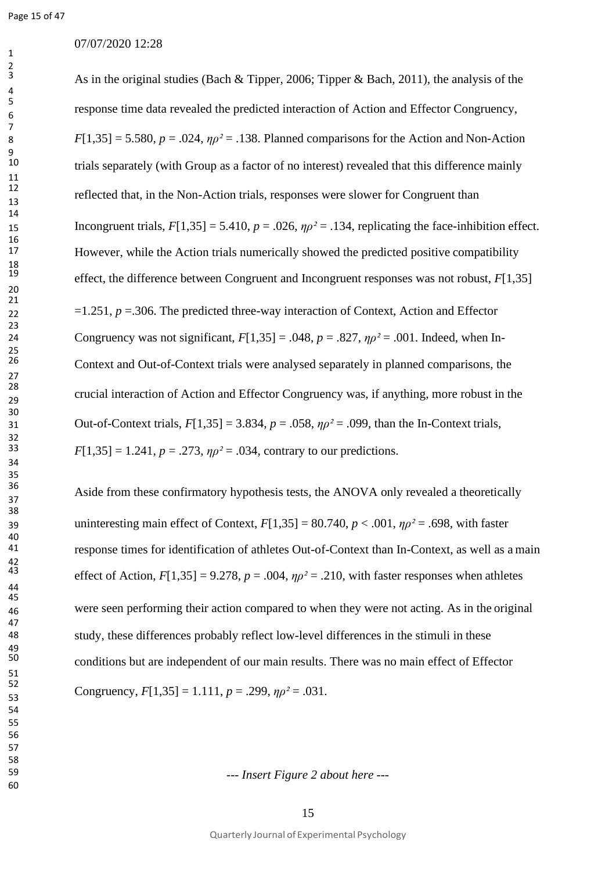## 07/07/2020 12:28

As in the original studies (Bach & Tipper, 2006; Tipper & Bach, 2011), the analysis of the response time data revealed the predicted interaction of Action and Effector Congruency, 8 *F*[1,35] = 5.580,  $p = .024$ ,  $\eta \rho^2 = .138$ . Planned comparisons for the Action and Non-Action trials separately (with Group as a factor of no interest) revealed that this difference mainly reflected that, in the Non-Action trials, responses were slower for Congruent than 15 Incongruent trials,  $F[1,35] = 5.410$ ,  $p = .026$ ,  $np^2 = .134$ , replicating the face-inhibition effect. However, while the Action trials numerically showed the predicted positive compatibility effect, the difference between Congruent and Incongruent responses was not robust, *F*[1,35] =1.251, *p* =.306. The predicted three-way interaction of Context, Action and Effector 24 Congruency was not significant,  $F[1,35] = .048$ ,  $p = .827$ ,  $np^2 = .001$ . Indeed, when In- Context and Out-of-Context trials were analysed separately in planned comparisons, the crucial interaction of Action and Effector Congruency was, if anything, more robust in the 31 Out-of-Context trials,  $F[1,35] = 3.834$ ,  $p = .058$ ,  $n\rho^2 = .099$ , than the In-Context trials,  $F[1,35] = 1.241$ ,  $p = .273$ ,  $np^2 = .034$ , contrary to our predictions.

<sup>36</sup><br>Aside from these confirmatory hypothesis tests, the ANOVA only revealed a theoretically 39 uninteresting main effect of Context,  $F[1,35] = 80.740$ ,  $p < .001$ ,  $\eta \rho^2 = .698$ , with faster response times for identification of athletes Out-of-Context than In-Context, as well as a main effect of Action,  $F[1,35] = 9.278$ ,  $p = .004$ ,  $\eta \rho^2 = .210$ , with faster responses when athletes were seen performing their action compared to when they were not acting. As in the original study, these differences probably reflect low-level differences in the stimuli in these conditions but are independent of our main results. There was no main effect of Effector Congruency,  $F[1,35] = 1.111$ ,  $p = .299$ ,  $np^2 = .031$ .

*--- Insert Figure 2 about here ---*

Quarterly Journal of Experimental Psychology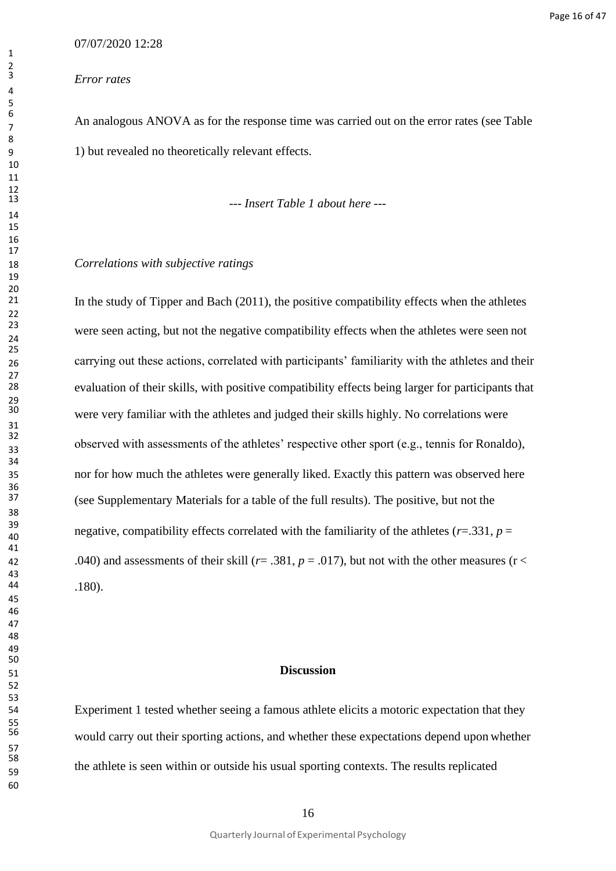#### *Error rates*

An analogous ANOVA as for the response time was carried out on the error rates (see Table 1) but revealed no theoretically relevant effects.

*--- Insert Table 1 about here ---*

## *Correlations with subjective ratings*

In the study of Tipper and Bach (2011), the positive compatibility effects when the athletes were seen acting, but not the negative compatibility effects when the athletes were seen not carrying out these actions, correlated with participants' familiarity with the athletes and their evaluation of their skills, with positive compatibility effects being larger for participants that were very familiar with the athletes and judged their skills highly. No correlations were observed with assessments of the athletes' respective other sport (e.g., tennis for Ronaldo), nor for how much the athletes were generally liked. Exactly this pattern was observed here (see Supplementary Materials for a table of the full results). The positive, but not the 39 negative, compatibility effects correlated with the familiarity of the athletes ( $r=0.331$ ,  $p=0$ 42 .040) and assessments of their skill  $(r = .381, p = .017)$ , but not with the other measures ( $r <$ .180).

## **Discussion**

 Experiment 1 tested whether seeing a famous athlete elicits a motoric expectation that they would carry out their sporting actions, and whether these expectations depend upon whether the athlete is seen within or outside his usual sporting contexts. The results replicated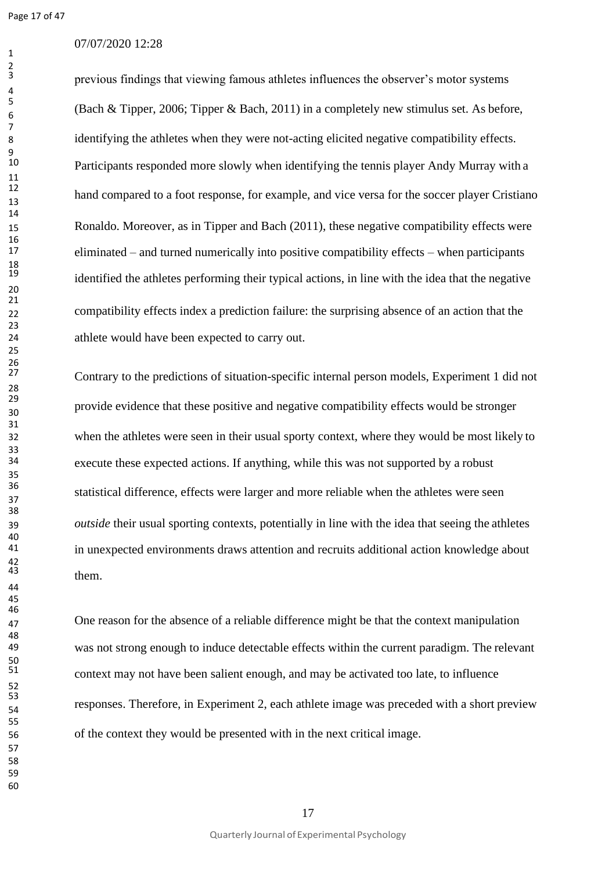## 07/07/2020 12:28

previous findings that viewing famous athletes influences the observer's motor systems (Bach & Tipper, 2006; Tipper & Bach, 2011) in a completely new stimulus set. As before, identifying the athletes when they were not-acting elicited negative compatibility effects. Participants responded more slowly when identifying the tennis player Andy Murray with a hand compared to a foot response, for example, and vice versa for the soccer player Cristiano Ronaldo. Moreover, as in Tipper and Bach (2011), these negative compatibility effects were eliminated – and turned numerically into positive compatibility effects – when participants identified the athletes performing their typical actions, in line with the idea that the negative compatibility effects index a prediction failure: the surprising absence of an action that the athlete would have been expected to carry out.

 Contrary to the predictions of situation-specific internal person models, Experiment 1 did not provide evidence that these positive and negative compatibility effects would be stronger when the athletes were seen in their usual sporty context, where they would be most likely to execute these expected actions. If anything, while this was not supported by a robust statistical difference, effects were larger and more reliable when the athletes were seen *outside* their usual sporting contexts, potentially in line with the idea that seeing the athletes in unexpected environments draws attention and recruits additional action knowledge about them.

47 One reason for the absence of a reliable difference might be that the context manipulation was not strong enough to induce detectable effects within the current paradigm. The relevant context may not have been salient enough, and may be activated too late, to influence responses. Therefore, in Experiment 2, each athlete image was preceded with a short preview of the context they would be presented with in the next critical image.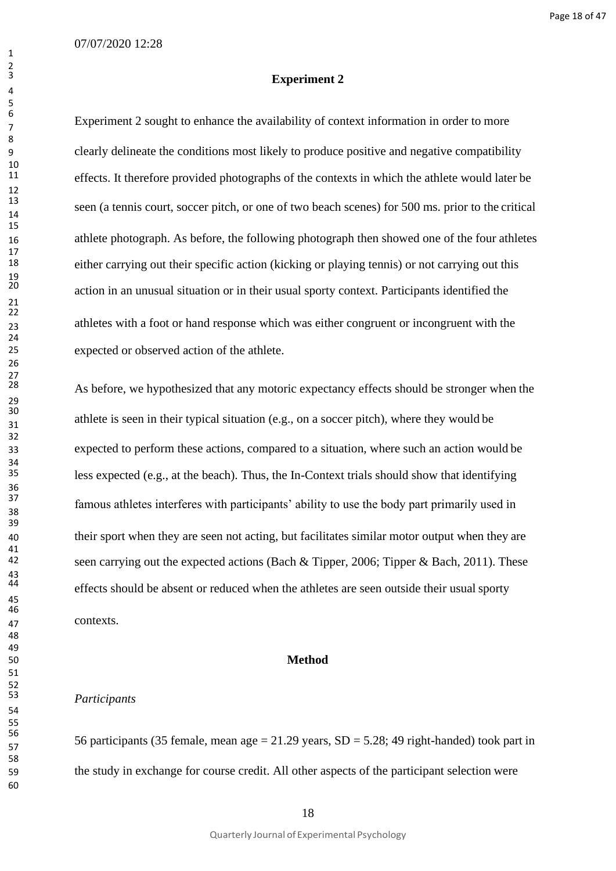#### Page 18 of 47

#### **Experiment 2**

Experiment 2 sought to enhance the availability of context information in order to more clearly delineate the conditions most likely to produce positive and negative compatibility effects. It therefore provided photographs of the contexts in which the athlete would later be seen (a tennis court, soccer pitch, or one of two beach scenes) for 500 ms. prior to the critical athlete photograph. As before, the following photograph then showed one of the four athletes either carrying out their specific action (kicking or playing tennis) or not carrying out this action in an unusual situation or in their usual sporty context. Participants identified the athletes with a foot or hand response which was either congruent or incongruent with the expected or observed action of the athlete.

As before, we hypothesized that any motoric expectancy effects should be stronger when the athlete is seen in their typical situation (e.g., on a soccer pitch), where they would be expected to perform these actions, compared to a situation, where such an action would be less expected (e.g., at the beach). Thus, the In-Context trials should show that identifying famous athletes interferes with participants' ability to use the body part primarily used in their sport when they are seen not acting, but facilitates similar motor output when they are seen carrying out the expected actions (Bach & Tipper, 2006; Tipper & Bach, 2011). These effects should be absent or reduced when the athletes are seen outside their usual sporty contexts.

#### **Method**

## *Participants*

56 56 56 56 participants (35 female, mean age = 21.29 years,  $SD = 5.28$ ; 49 right-handed) took part in the study in exchange for course credit. All other aspects of the participant selection were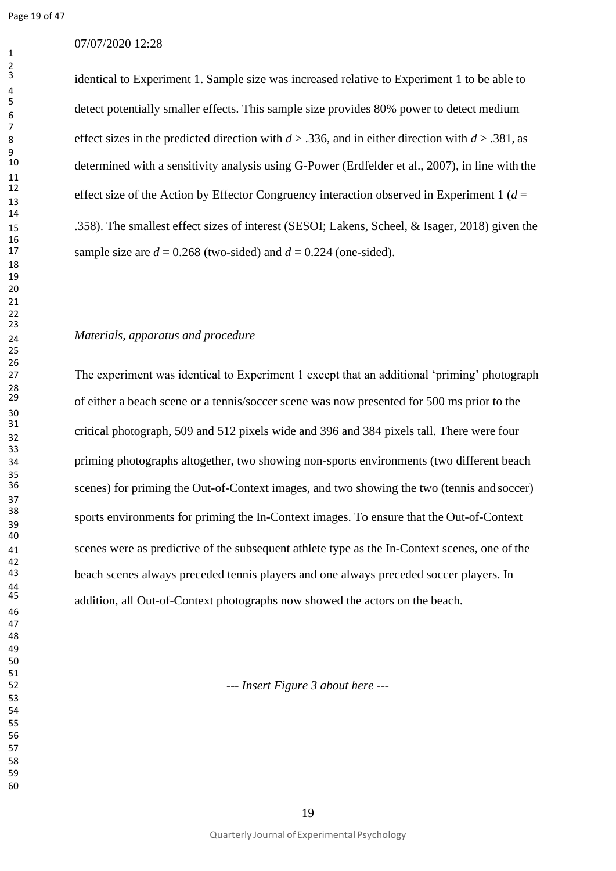## 07/07/2020 12:28

identical to Experiment 1. Sample size was increased relative to Experiment 1 to be able to detect potentially smaller effects. This sample size provides 80% power to detect medium effect sizes in the predicted direction with *d* > .336, and in either direction with *d* > .381, as determined with a sensitivity analysis using G-Power (Erdfelder et al., 2007), in line with the effect size of the Action by Effector Congruency interaction observed in Experiment 1 ( $d =$  .358). The smallest effect sizes of interest (SESOI; Lakens, Scheel, & Isager, 2018) given the sample size are  $d = 0.268$  (two-sided) and  $d = 0.224$  (one-sided).

## *Materials, apparatus and procedure*

 The experiment was identical to Experiment 1 except that an additional 'priming' photograph of either a beach scene or a tennis/soccer scene was now presented for 500 ms prior to the critical photograph, 509 and 512 pixels wide and 396 and 384 pixels tall. There were four priming photographs altogether, two showing non-sports environments (two different beach scenes) for priming the Out-of-Context images, and two showing the two (tennis and soccer) sports environments for priming the In-Context images. To ensure that the Out-of-Context scenes were as predictive of the subsequent athlete type as the In-Context scenes, one of the beach scenes always preceded tennis players and one always preceded soccer players. In addition, all Out-of-Context photographs now showed the actors on the beach.

*--- Insert Figure 3 about here ---*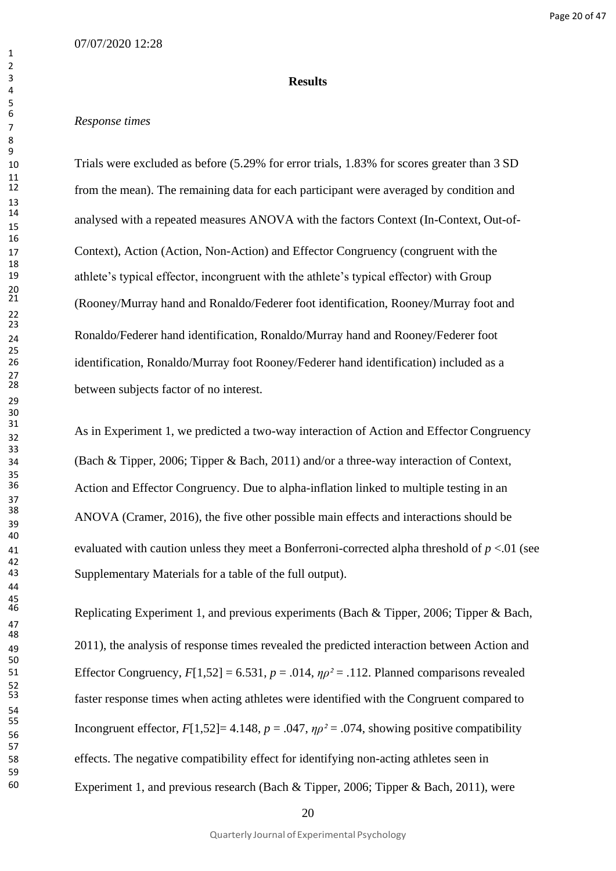#### **Results**

## *Response times*

 Trials were excluded as before (5.29% for error trials, 1.83% for scores greater than 3 SD from the mean). The remaining data for each participant were averaged by condition and analysed with a repeated measures ANOVA with the factors Context (In-Context, Out-of- Context), Action (Action, Non-Action) and Effector Congruency (congruent with the athlete's typical effector, incongruent with the athlete's typical effector) with Group (Rooney/Murray hand and Ronaldo/Federer foot identification, Rooney/Murray foot and Ronaldo/Federer hand identification, Ronaldo/Murray hand and Rooney/Federer foot identification, Ronaldo/Murray foot Rooney/Federer hand identification) included as a between subjects factor of no interest.

As in Experiment 1, we predicted a two-way interaction of Action and Effector Congruency (Bach & Tipper, 2006; Tipper & Bach, 2011) and/or a three-way interaction of Context, Action and Effector Congruency. Due to alpha-inflation linked to multiple testing in an ANOVA (Cramer, 2016), the five other possible main effects and interactions should be evaluated with caution unless they meet a Bonferroni-corrected alpha threshold of *p* <.01 (see Supplementary Materials for a table of the full output).

Replicating Experiment 1, and previous experiments (Bach & Tipper, 2006; Tipper & Bach, 2011), the analysis of response times revealed the predicted interaction between Action and 51 Effector Congruency,  $F[1,52] = 6.531$ ,  $p = .014$ ,  $\eta \rho^2 = .112$ . Planned comparisons revealed faster response times when acting athletes were identified with the Congruent compared to Incongruent effector,  $F[1,52] = 4.148$ ,  $p = .047$ ,  $\eta p^2 = .074$ , showing positive compatibility effects. The negative compatibility effect for identifying non-acting athletes seen in Experiment 1, and previous research (Bach & Tipper, 2006; Tipper & Bach, 2011), were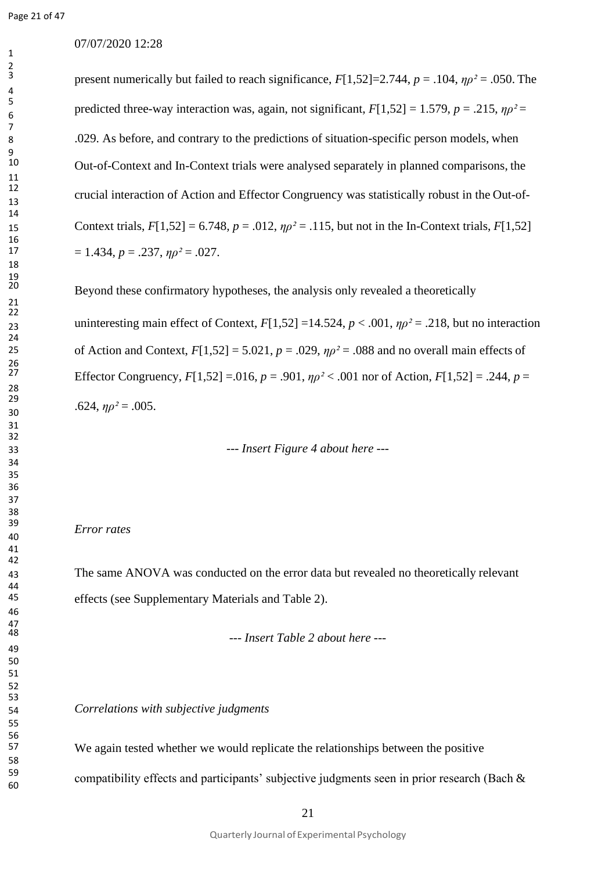## 07/07/2020 12:28

present numerically but failed to reach significance, *F*[1,52]=2.744, *p* = .104, *ηρ²* = .050. The predicted three-way interaction was, again, not significant,  $F[1,52] = 1.579$ ,  $p = .215$ ,  $np^2 =$  .029. As before, and contrary to the predictions of situation-specific person models, when Out-of-Context and In-Context trials were analysed separately in planned comparisons, the crucial interaction of Action and Effector Congruency was statistically robust in the Out-of-15 Context trials,  $F[1,52] = 6.748$ ,  $p = .012$ ,  $np^2 = .115$ , but not in the In-Context trials,  $F[1,52]$  $= 1.434, p = .237, \eta p^2 = .027.$ 

Beyond these confirmatory hypotheses, the analysis only revealed a theoretically 23 uninteresting main effect of Context,  $F[1,52] = 14.524$ ,  $p < .001$ ,  $\eta \rho^2 = .218$ , but no interaction 25 of Action and Context,  $F[1,52] = 5.021$ ,  $p = .029$ ,  $np^2 = .088$  and no overall main effects of Effector Congruency,  $F[1,52] = .016$ ,  $p = .901$ ,  $p\rho^2 < .001$  nor of Action,  $F[1,52] = .244$ ,  $p =$  $.624, \eta \rho^2 = .005.$ 

*--- Insert Figure 4 about here ---*

#### *Error rates*

 The same ANOVA was conducted on the error data but revealed no theoretically relevant effects (see Supplementary Materials and Table 2).

*--- Insert Table 2 about here ---*

*Correlations with subjective judgments*

We again tested whether we would replicate the relationships between the positive compatibility effects and participants' subjective judgments seen in prior research (Bach &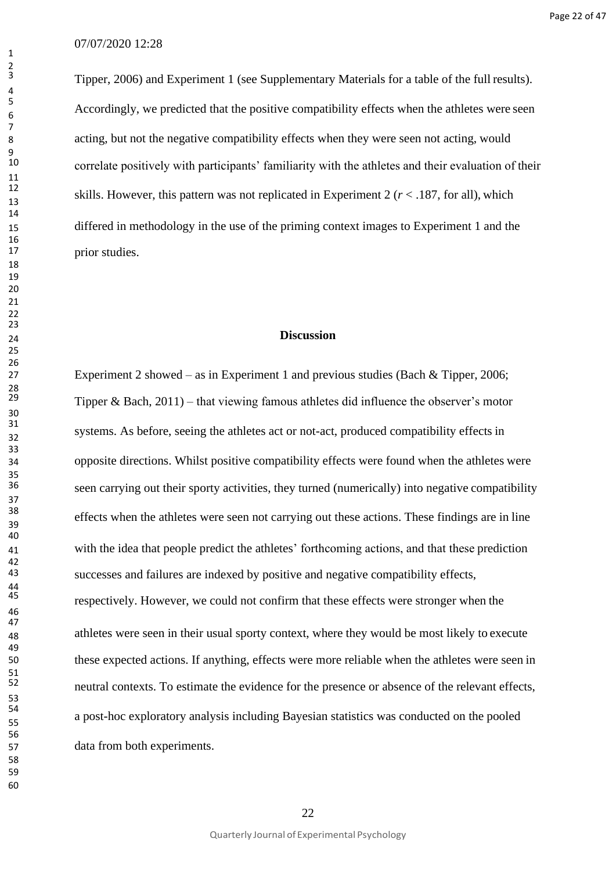Tipper, 2006) and Experiment 1 (see Supplementary Materials for a table of the full results). Accordingly, we predicted that the positive compatibility effects when the athletes were seen acting, but not the negative compatibility effects when they were seen not acting, would correlate positively with participants' familiarity with the athletes and their evaluation of their skills. However, this pattern was not replicated in Experiment 2 ( $r <$  187, for all), which differed in methodology in the use of the priming context images to Experiment 1 and the prior studies.

## **Discussion**

 Experiment 2 showed – as in Experiment 1 and previous studies (Bach & Tipper, 2006; Tipper & Bach, ) – that viewing famous athletes did influence the observer's motor systems. As before, seeing the athletes act or not-act, produced compatibility effects in opposite directions. Whilst positive compatibility effects were found when the athletes were seen carrying out their sporty activities, they turned (numerically) into negative compatibility effects when the athletes were seen not carrying out these actions. These findings are in line with the idea that people predict the athletes' forthcoming actions, and that these prediction successes and failures are indexed by positive and negative compatibility effects, respectively. However, we could not confirm that these effects were stronger when the athletes were seen in their usual sporty context, where they would be most likely to execute these expected actions. If anything, effects were more reliable when the athletes were seen in neutral contexts. To estimate the evidence for the presence or absence of the relevant effects, a post-hoc exploratory analysis including Bayesian statistics was conducted on the pooled data from both experiments.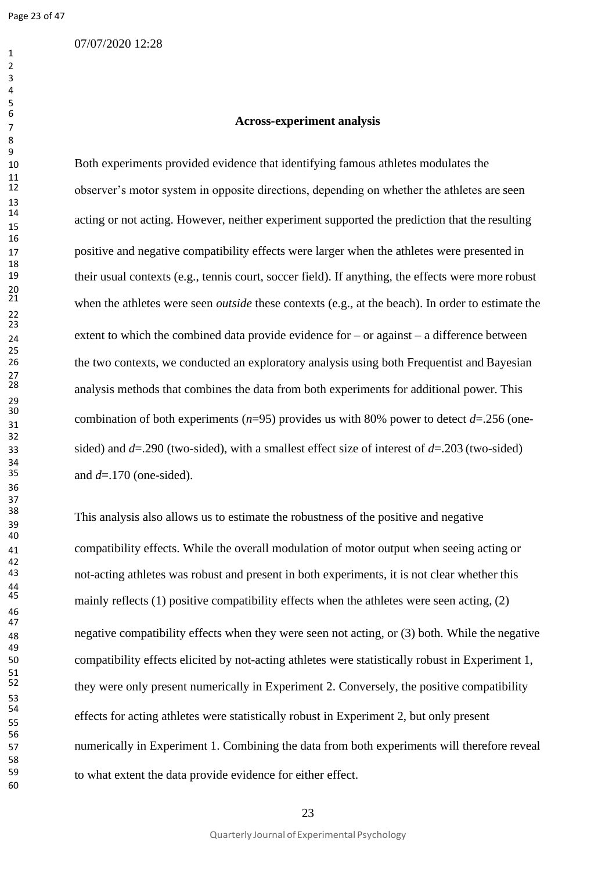## 07/07/2020 12:28

#### **Across-experiment analysis**

 Both experiments provided evidence that identifying famous athletes modulates the observer's motor system in opposite directions, depending on whether the athletes are seen acting or not acting. However, neither experiment supported the prediction that the resulting positive and negative compatibility effects were larger when the athletes were presented in their usual contexts (e.g., tennis court, soccer field). If anything, the effects were more robust when the athletes were seen *outside* these contexts (e.g., at the beach). In order to estimate the 24 extent to which the combined data provide evidence for – or against – a difference between the two contexts, we conducted an exploratory analysis using both Frequentist and Bayesian analysis methods that combines the data from both experiments for additional power. This combination of both experiments ( $n=95$ ) provides us with 80% power to detect  $d=$ .256 (one- sided) and *d*=.290 (two-sided), with a smallest effect size of interest of *d*=.203 (two-sided) and  $d=170$  (one-sided).

 This analysis also allows us to estimate the robustness of the positive and negative compatibility effects. While the overall modulation of motor output when seeing acting or not-acting athletes was robust and present in both experiments, it is not clear whether this mainly reflects  $(1)$  positive compatibility effects when the athletes were seen acting,  $(2)$  negative compatibility effects when they were seen not acting, or (3) both. While the negative compatibility effects elicited by not-acting athletes were statistically robust in Experiment 1, they were only present numerically in Experiment 2. Conversely, the positive compatibility effects for acting athletes were statistically robust in Experiment 2, but only present numerically in Experiment 1. Combining the data from both experiments will therefore reveal to what extent the data provide evidence for either effect.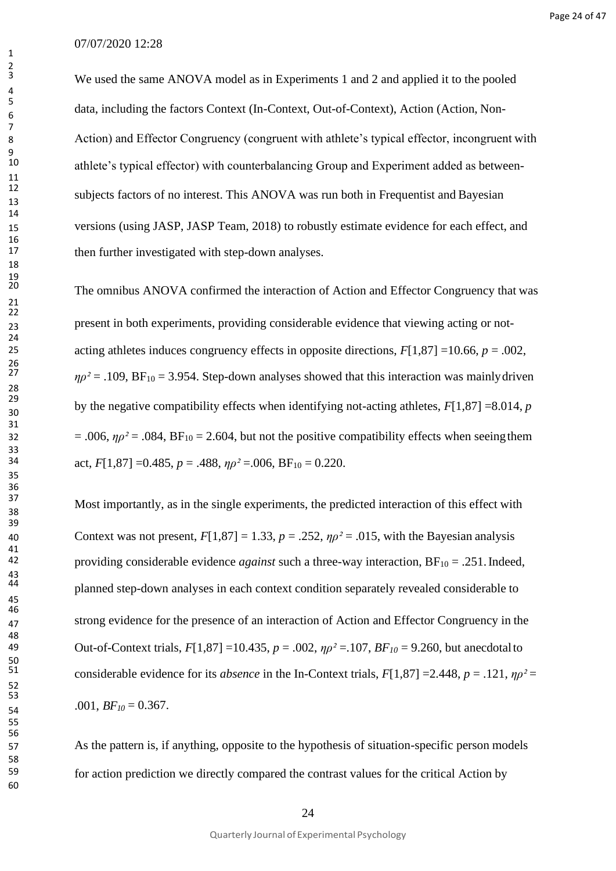We used the same ANOVA model as in Experiments 1 and 2 and applied it to the pooled data, including the factors Context (In-Context, Out-of-Context), Action (Action, Non-8 Action) and Effector Congruency (congruent with athlete's typical effector, incongruent with athlete's typical effector) with counterbalancing Group and Experiment added as betweensubjects factors of no interest. This ANOVA was run both in Frequentist and Bayesian 15 versions (using JASP, JASP Team, 2018) to robustly estimate evidence for each effect, and then further investigated with step-down analyses.

The omnibus ANOVA confirmed the interaction of Action and Effector Congruency that was <sup>23</sup> present in both experiments, providing considerable evidence that viewing acting or not-25 acting athletes induces congruency effects in opposite directions,  $F[1,87] = 10.66$ ,  $p = .002$ ,  $\eta \rho^2$  = .109, BF<sub>10</sub> = 3.954. Step-down analyses showed that this interaction was mainly driven by the negative compatibility effects when identifying not-acting athletes,  $F[1,87] = 8.014$ , *p*  $= .006$ ,  $\eta \rho^2 = .084$ ,  $BF_{10} = 2.604$ , but not the positive compatibility effects when seeing them act,  $F[1,87] = 0.485$ ,  $p = .488$ ,  $n\rho^2 = .006$ ,  $BF_{10} = 0.220$ .

Most importantly, as in the single experiments, the predicted interaction of this effect with 40 Context was not present,  $F[1,87] = 1.33$ ,  $p = .252$ ,  $\eta \rho^2 = .015$ , with the Bayesian analysis providing considerable evidence *against* such a three-way interaction, BF<sub>10</sub> = .251. Indeed, <sup>44</sup> planned step-down analyses in each context condition separately revealed considerable to <sup>47</sup> strong evidence for the presence of an interaction of Action and Effector Congruency in the 49 Out-of-Context trials, *F*[1,87] =10.435, *p* = .002, *ηρ²* =.107, *BF<sup>10</sup>* = 9.260, but anecdotalto considerable evidence for its *absence* in the In-Context trials,  $F[1,87] = 2.448$ ,  $p = .121$ ,  $np^2 =$ 54 .001,  $BF_{10} = 0.367$ .

57 As the pattern is, if anything, opposite to the hypothesis of situation-specific person models 59 for action prediction we directly compared the contrast values for the critical Action by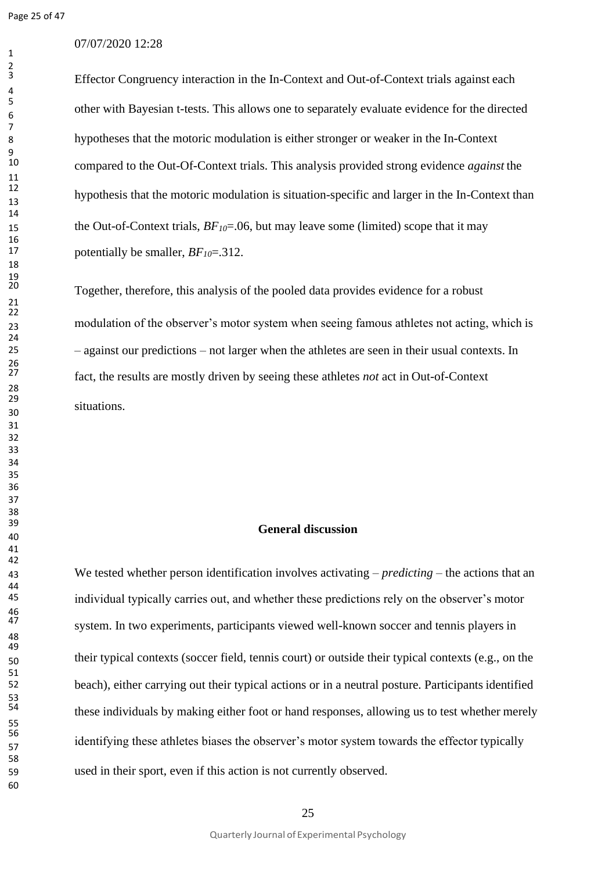## 07/07/2020 12:28

Effector Congruency interaction in the In-Context and Out-of-Context trials against each other with Bayesian t-tests. This allows one to separately evaluate evidence for the directed hypotheses that the motoric modulation is either stronger or weaker in the In-Context compared to the Out-Of-Context trials. This analysis provided strong evidence *against* the hypothesis that the motoric modulation is situation-specific and larger in the In-Context than 15 the Out-of-Context trials,  $BF<sub>10</sub>=.06$ , but may leave some (limited) scope that it may potentially be smaller, *BF10*=.312.

 Together, therefore, this analysis of the pooled data provides evidence for a robust modulation of the observer's motor system when seeing famous athletes not acting, which is – against our predictions – not larger when the athletes are seen in their usual contexts. In fact, the results are mostly driven by seeing these athletes *not* act in Out-of-Context situations.

## **General discussion**

 We tested whether person identification involves activating – *predicting* – the actions that an individual typically carries out, and whether these predictions rely on the observer's motor system. In two experiments, participants viewed well-known soccer and tennis players in their typical contexts (soccer field, tennis court) or outside their typical contexts (e.g., on the beach), either carrying out their typical actions or in a neutral posture. Participants identified these individuals by making either foot or hand responses, allowing us to test whether merely identifying these athletes biases the observer's motor system towards the effector typically used in their sport, even if this action is not currently observed.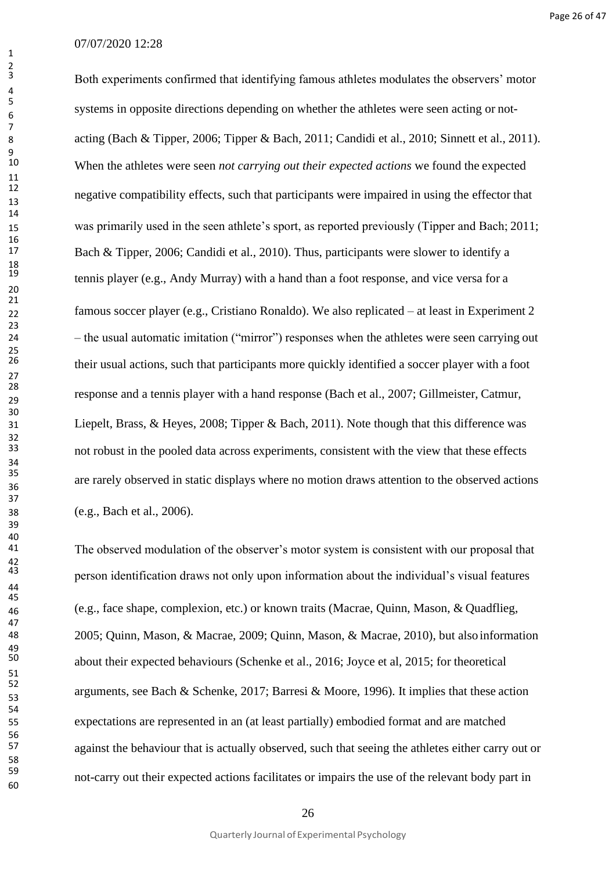Both experiments confirmed that identifying famous athletes modulates the observers' motor systems in opposite directions depending on whether the athletes were seen acting or not- acting (Bach & Tipper, 2006; Tipper & Bach, 2011; Candidi et al., 2010; Sinnett et al., 2011). When the athletes were seen *not carrying out their expected actions* we found the expected negative compatibility effects, such that participants were impaired in using the effector that was primarily used in the seen athlete's sport, as reported previously (Tipper and Bach; 2011; Bach & Tipper, 2006; Candidi et al., 2010). Thus, participants were slower to identify a tennis player (e.g., Andy Murray) with a hand than a foot response, and vice versa for a famous soccer player (e.g., Cristiano Ronaldo). We also replicated – at least in Experiment 2 – the usual automatic imitation ("mirror") responses when the athletes were seen carrying out their usual actions, such that participants more quickly identified a soccer player with a foot response and a tennis player with a hand response (Bach et al., 2007; Gillmeister, Catmur, Liepelt, Brass, & Heyes, 2008; Tipper & Bach, 2011). Note though that this difference was not robust in the pooled data across experiments, consistent with the view that these effects are rarely observed in static displays where no motion draws attention to the observed actions (e.g., Bach et al., 2006).

The observed modulation of the observer's motor system is consistent with our proposal that person identification draws not only upon information about the individual's visual features (e.g., face shape, complexion, etc.) or known traits (Macrae, Quinn, Mason, & Quadflieg, 2005; Quinn, Mason, & Macrae, 2009; Quinn, Mason, & Macrae, 2010), but also information about their expected behaviours (Schenke et al., 2016; Joyce et al, 2015; for theoretical arguments, see Bach & Schenke, 2017; Barresi & Moore, 1996). It implies that these action expectations are represented in an (at least partially) embodied format and are matched against the behaviour that is actually observed, such that seeing the athletes either carry out or not-carry out their expected actions facilitates or impairs the use of the relevant body part in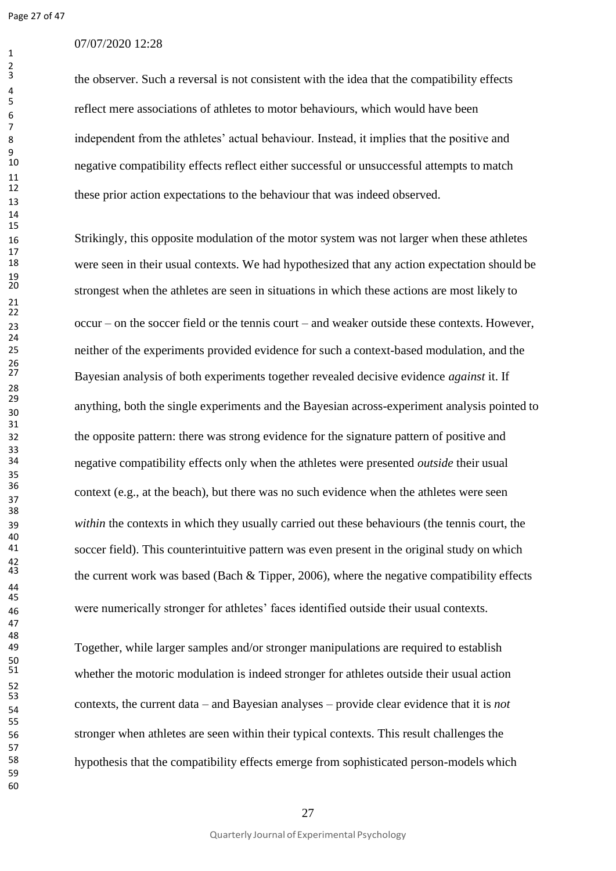$\frac{9}{10}$ 

## 07/07/2020 12:28

the observer. Such a reversal is not consistent with the idea that the compatibility effects reflect mere associations of athletes to motor behaviours, which would have been independent from the athletes' actual behaviour. Instead, it implies that the positive and negative compatibility effects reflect either successful or unsuccessful attempts to match these prior action expectations to the behaviour that was indeed observed.

16 Strikingly, this opposite modulation of the motor system was not larger when these athletes were seen in their usual contexts. We had hypothesized that any action expectation should be strongest when the athletes are seen in situations in which these actions are most likely to occur – on the soccer field or the tennis court – and weaker outside these contexts. However, neither of the experiments provided evidence for such a context-based modulation, and the Bayesian analysis of both experiments together revealed decisive evidence *against* it. If anything, both the single experiments and the Bayesian across-experiment analysis pointed to the opposite pattern: there was strong evidence for the signature pattern of positive and negative compatibility effects only when the athletes were presented *outside* their usual context (e.g., at the beach), but there was no such evidence when the athletes were seen *within* the contexts in which they usually carried out these behaviours (the tennis court, the soccer field). This counterintuitive pattern was even present in the original study on which the current work was based (Bach  $&$  Tipper, 2006), where the negative compatibility effects were numerically stronger for athletes' faces identified outside their usual contexts.

 Together, while larger samples and/or stronger manipulations are required to establish whether the motoric modulation is indeed stronger for athletes outside their usual action contexts, the current data – and Bayesian analyses – provide clear evidence that it is *not* stronger when athletes are seen within their typical contexts. This result challenges the hypothesis that the compatibility effects emerge from sophisticated person-models which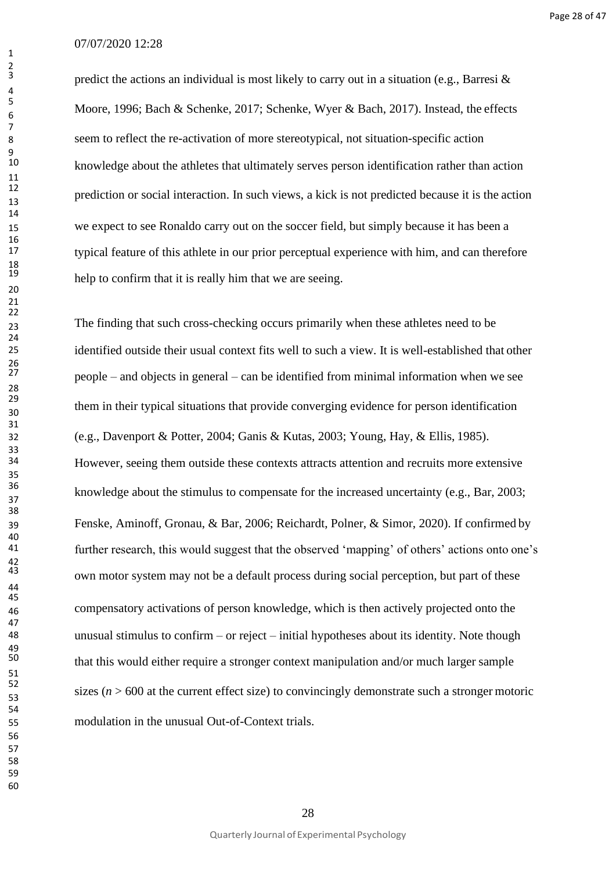predict the actions an individual is most likely to carry out in a situation (e.g., Barresi & Moore, 1996; Bach & Schenke, 2017; Schenke, Wyer & Bach, 2017). Instead, the effects seem to reflect the re-activation of more stereotypical, not situation-specific action knowledge about the athletes that ultimately serves person identification rather than action prediction or social interaction. In such views, a kick is not predicted because it is the action we expect to see Ronaldo carry out on the soccer field, but simply because it has been a typical feature of this athlete in our prior perceptual experience with him, and can therefore help to confirm that it is really him that we are seeing.

 The finding that such cross-checking occurs primarily when these athletes need to be identified outside their usual context fits well to such a view. It is well-established that other people – and objects in general – can be identified from minimal information when we see them in their typical situations that provide converging evidence for person identification (e.g., Davenport & Potter, 2004; Ganis & Kutas, 2003; Young, Hay, & Ellis, 1985). However, seeing them outside these contexts attracts attention and recruits more extensive <sup>36</sup> knowledge about the stimulus to compensate for the increased uncertainty (e.g., Bar, 2003; Fenske, Aminoff, Gronau, & Bar, 2006; Reichardt, Polner, & Simor, 2020). If confirmed by further research, this would suggest that the observed 'mapping' of others' actions onto one's own motor system may not be a default process during social perception, but part of these compensatory activations of person knowledge, which is then actively projected onto the unusual stimulus to confirm – or reject – initial hypotheses about its identity. Note though that this would either require a stronger context manipulation and/or much larger sample sizes ( $n > 600$  at the current effect size) to convincingly demonstrate such a stronger motoric modulation in the unusual Out-of-Context trials.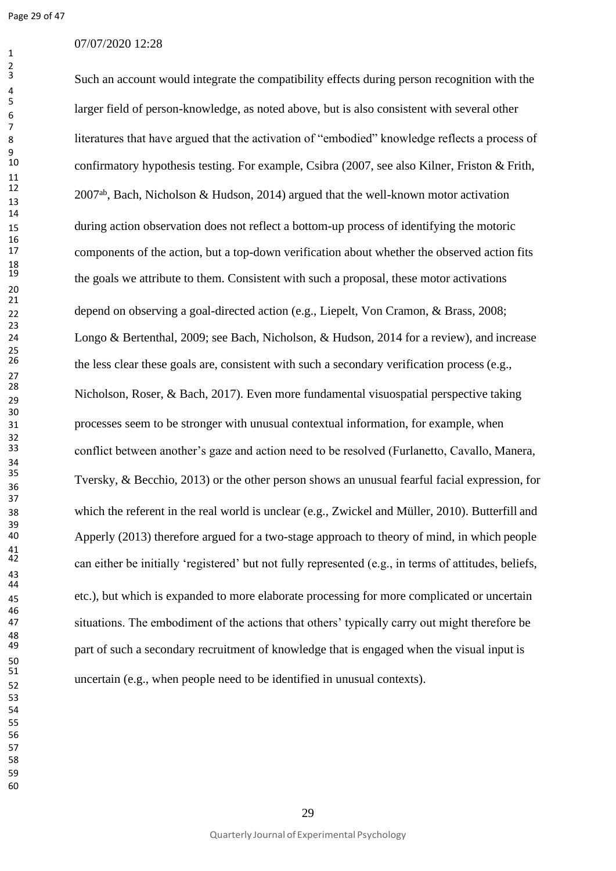$\frac{2}{3}$ 

## 07/07/2020 12:28

Such an account would integrate the compatibility effects during person recognition with the larger field of person-knowledge, as noted above, but is also consistent with several other literatures that have argued that the activation of "embodied" knowledge reflects a process of confirmatory hypothesis testing. For example, Csibra (2007, see also Kilner, Friston & Frith,  $12007^{ab}$ , Bach, Nicholson & Hudson, 2014) argued that the well-known motor activation during action observation does not reflect a bottom-up process of identifying the motoric components of the action, but a top-down verification about whether the observed action fits the goals we attribute to them. Consistent with such a proposal, these motor activations depend on observing a goal-directed action (e.g., Liepelt, Von Cramon, & Brass, 2008; Longo & Bertenthal, 2009; see Bach, Nicholson, & Hudson, 2014 for a review), and increase the less clear these goals are, consistent with such a secondary verification process (e.g., Nicholson, Roser, & Bach, 2017). Even more fundamental visuospatial perspective taking processes seem to be stronger with unusual contextual information, for example, when conflict between another's gaze and action need to be resolved (Furlanetto, Cavallo, Manera, Tversky, & Becchio, 2013) or the other person shows an unusual fearful facial expression, for which the referent in the real world is unclear (e.g., Zwickel and Müller, 2010). Butterfill and Apperly (2013) therefore argued for a two-stage approach to theory of mind, in which people can either be initially 'registered' but not fully represented (e.g., in terms of attitudes, beliefs, etc.), but which is expanded to more elaborate processing for more complicated or uncertain situations. The embodiment of the actions that others' typically carry out might therefore be part of such a secondary recruitment of knowledge that is engaged when the visual input is uncertain (e.g., when people need to be identified in unusual contexts).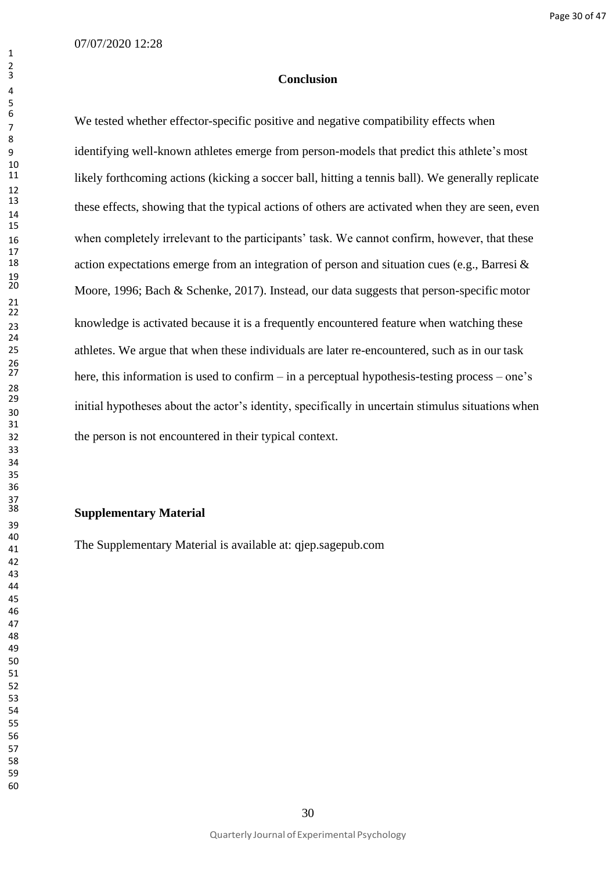#### **Conclusion**

We tested whether effector-specific positive and negative compatibility effects when identifying well-known athletes emerge from person-models that predict this athlete's most likely forthcoming actions (kicking a soccer ball, hitting a tennis ball). We generally replicate these effects, showing that the typical actions of others are activated when they are seen, even when completely irrelevant to the participants' task. We cannot confirm, however, that these action expectations emerge from an integration of person and situation cues (e.g., Barresi  $\&$ Moore, 1996; Bach & Schenke, 2017). Instead, our data suggests that person-specific motor knowledge is activated because it is a frequently encountered feature when watching these athletes. We argue that when these individuals are later re-encountered, such as in our task here, this information is used to confirm – in a perceptual hypothesis-testing process – one's initial hypotheses about the actor's identity, specifically in uncertain stimulus situations when the person is not encountered in their typical context.

#### **Supplementary Material**

The Supplementary Material is available at: qjep.sagepub.com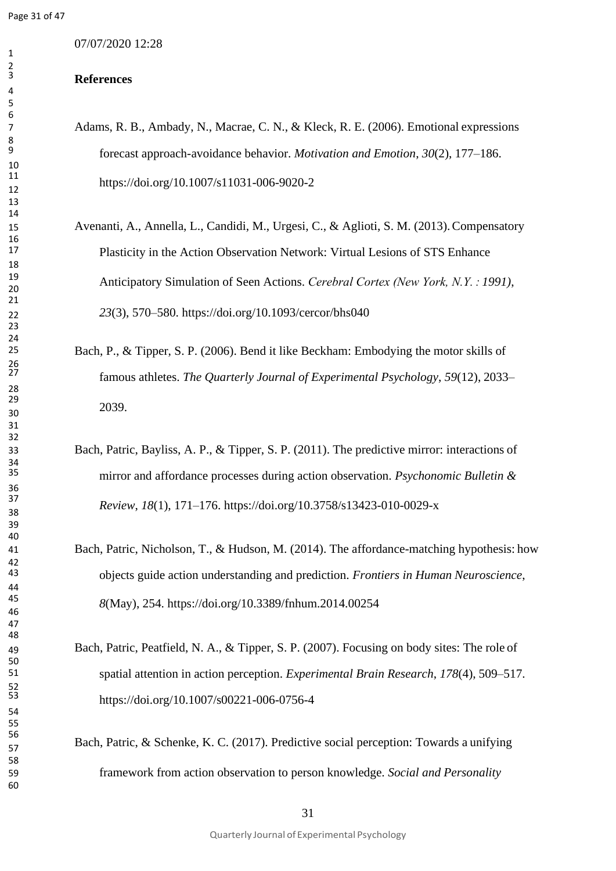07/07/2020 12:28

## **References**

- Adams, R. B., Ambady, N., Macrae, C. N., & Kleck, R. E. (2006). Emotional expressions forecast approach-avoidance behavior. *Motivation and Emotion*, *30*(2), 177–186. https://doi.org/10.1007/s11031-006-9020-2
- Avenanti, A., Annella, L., Candidi, M., Urgesi, C., & Aglioti, S. M. (2013).Compensatory Plasticity in the Action Observation Network: Virtual Lesions of STS Enhance Anticipatory Simulation of Seen Actions. *Cerebral Cortex (New York, N.Y. : 1991)*, *23*(3), 570–580. https://doi.org/10.1093/cercor/bhs040
- Bach, P., & Tipper, S. P. (2006). Bend it like Beckham: Embodying the motor skills of famous athletes. *The Quarterly Journal of Experimental Psychology*, *59*(12), 2033– 2039.
- Bach, Patric, Bayliss, A. P., & Tipper, S. P. (2011). The predictive mirror: interactions of mirror and affordance processes during action observation. *Psychonomic Bulletin & Review*, *18*(1), 171–176. https://doi.org/10.3758/s13423-010-0029-x
- Bach, Patric, Nicholson, T., & Hudson, M. (2014). The affordance-matching hypothesis: how objects guide action understanding and prediction. *Frontiers in Human Neuroscience*, *8*(May), 254. https://doi.org/10.3389/fnhum.2014.00254
- Bach, Patric, Peatfield, N. A., & Tipper, S. P. (2007). Focusing on body sites: The role of spatial attention in action perception. *Experimental Brain Research*, *178*(4), 509–517. https://doi.org/10.1007/s00221-006-0756-4
- Bach, Patric, & Schenke, K. C. (2017). Predictive social perception: Towards a unifying framework from action observation to person knowledge. *Social and Personality*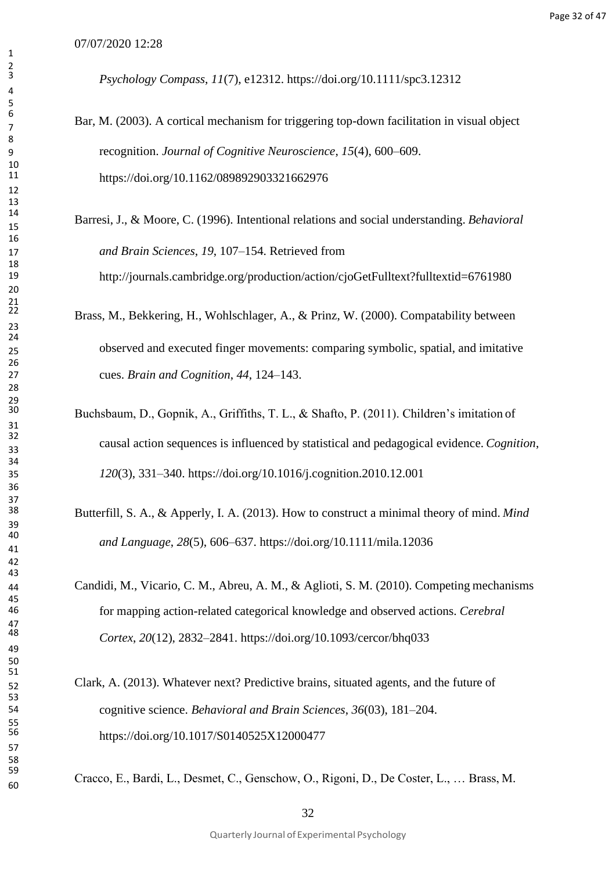- Bar, M. (2003). A cortical mechanism for triggering top-down facilitation in visual object recognition. *Journal of Cognitive Neuroscience*, *15*(4), 600–609. https://doi.org/10.1162/089892903321662976
- Barresi, J., & Moore, C. (1996). Intentional relations and social understanding. *Behavioral and Brain Sciences*, *19*, 107–154. Retrieved from <http://journals.cambridge.org/production/action/cjoGetFulltext?fulltextid=6761980>
- Brass, M., Bekkering, H., Wohlschlager, A., & Prinz, W. (2000). Compatability between observed and executed finger movements: comparing symbolic, spatial, and imitative cues. *Brain and Cognition*, *44*, 124–143.
- Buchsbaum, D., Gopnik, A., Griffiths, T. L., & Shafto, P. (2011). Children's imitation of causal action sequences is influenced by statistical and pedagogical evidence. *Cognition*, *120*(3), 331–340. https://doi.org/10.1016/j.cognition.2010.12.001
- Butterfill, S. A., & Apperly, I. A. (2013). How to construct a minimal theory of mind. *Mind and Language*, *28*(5), 606–637. https://doi.org/10.1111/mila.12036
- Candidi, M., Vicario, C. M., Abreu, A. M., & Aglioti, S. M. (2010). Competing mechanisms for mapping action-related categorical knowledge and observed actions. *Cerebral Cortex*, *20*(12), 2832–2841. https://doi.org/10.1093/cercor/bhq033
- Clark, A. (2013). Whatever next? Predictive brains, situated agents, and the future of cognitive science. *Behavioral and Brain Sciences*, *36*(03), 181–204. https://doi.org/10.1017/S0140525X12000477

Cracco, E., Bardi, L., Desmet, C., Genschow, O., Rigoni, D., De Coster, L., … Brass, M.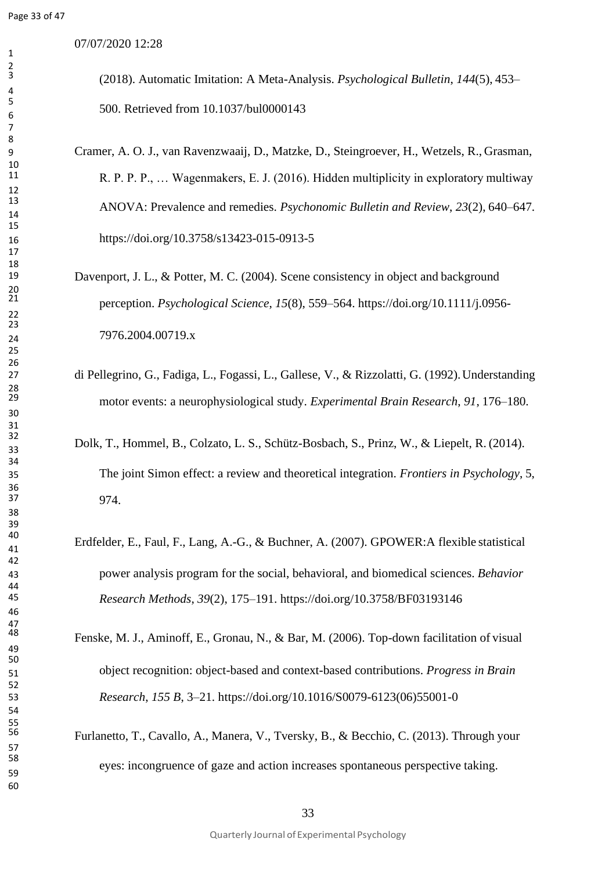07/07/2020 12:28

(2018). Automatic Imitation: A Meta-Analysis. *Psychological Bulletin*, *144*(5), 453– 500. Retrieved from 10.1037/bul0000143

- Cramer, A. O. J., van Ravenzwaaij, D., Matzke, D., Steingroever, H., Wetzels, R., Grasman, R. P. P., ... Wagenmakers, E. J. (2016). Hidden multiplicity in exploratory multiway ANOVA: Prevalence and remedies. *Psychonomic Bulletin and Review*, *23*(2), 640–647. https://doi.org/10.3758/s13423-015-0913-5
- Davenport, J. L., & Potter, M. C. (2004). Scene consistency in object and background perception. *Psychological Science*, *15*(8), 559–564. https://doi.org/10.1111/j.0956- 7976.2004.00719.x
- di Pellegrino, G., Fadiga, L., Fogassi, L., Gallese, V., & Rizzolatti, G. (1992).Understanding motor events: a neurophysiological study. *Experimental Brain Research*, *91*, 176–180.
- Dolk, T., Hommel, B., Colzato, L. S., Schütz-Bosbach, S., Prinz, W., & Liepelt, R. (2014). The joint Simon effect: a review and theoretical integration. *Frontiers in Psychology*, 5, 974.
- Erdfelder, E., Faul, F., Lang, A.-G., & Buchner, A. (2007). GPOWER:A flexible statistical power analysis program for the social, behavioral, and biomedical sciences. *Behavior Research Methods*, *39*(2), 175–191. https://doi.org/10.3758/BF03193146
- Fenske, M. J., Aminoff, E., Gronau, N., & Bar, M. (2006). Top-down facilitation of visual object recognition: object-based and context-based contributions. *Progress in Brain Research*, *155 B*, 3–21. https://doi.org/10.1016/S0079-6123(06)55001-0
	- Furlanetto, T., Cavallo, A., Manera, V., Tversky, B., & Becchio, C. (2013). Through your eyes: incongruence of gaze and action increases spontaneous perspective taking.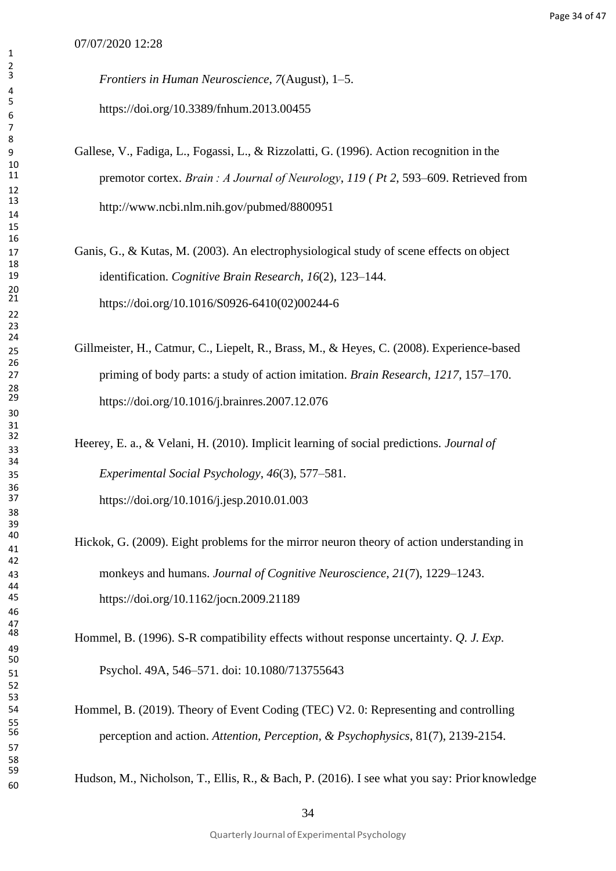*Frontiers in Human Neuroscience*, *7*(August), 1–5. https://doi.org/10.3389/fnhum.2013.00455

- Gallese, V., Fadiga, L., Fogassi, L., & Rizzolatti, G. (1996). Action recognition in the premotor cortex. *Brain : A Journal of Neurology*, *119 ( Pt 2*, 593–609. Retrieved from <http://www.ncbi.nlm.nih.gov/pubmed/8800951>
- Ganis, G., & Kutas, M. (2003). An electrophysiological study of scene effects on object identification. *Cognitive Brain Research*, *16*(2), 123–144. https://doi.org/10.1016/S0926-6410(02)00244-6
- Gillmeister, H., Catmur, C., Liepelt, R., Brass, M., & Heyes, C. (2008). Experience-based priming of body parts: a study of action imitation. *Brain Research*, *1217*, 157–170. https://doi.org/10.1016/j.brainres.2007.12.076
- Heerey, E. a., & Velani, H. (2010). Implicit learning of social predictions. *Journal of Experimental Social Psychology*, *46*(3), 577–581. https://doi.org/10.1016/j.jesp.2010.01.003
- Hickok, G. (2009). Eight problems for the mirror neuron theory of action understanding in monkeys and humans. *Journal of Cognitive Neuroscience*, *21*(7), 1229–1243. https://doi.org/10.1162/jocn.2009.21189
- Hommel, B. (1996). S-R compatibility effects without response uncertainty. *Q. J. Exp*. Psychol. 49A, 546–571. doi: 10.1080/713755643
- Hommel, B. (2019). Theory of Event Coding (TEC) V2. 0: Representing and controlling perception and action. *Attention, Perception, & Psychophysics*, 81(7), 2139-2154.

Hudson, M., Nicholson, T., Ellis, R., & Bach, P. (2016). I see what you say: Prior knowledge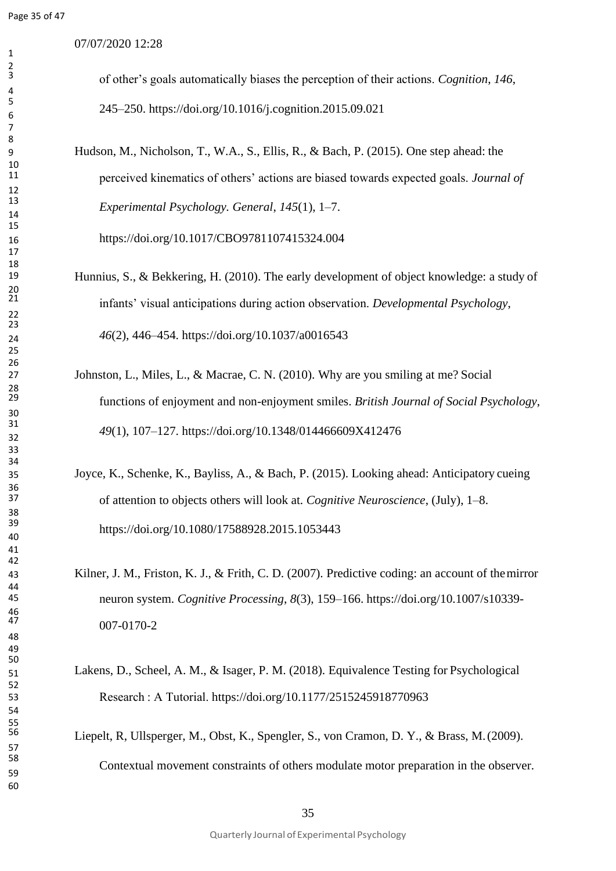07/07/2020 12:28

of other's goals automatically biases the perception of their actions. *Cognition*, *146*, 245–250. https://doi.org/10.1016/j.cognition.2015.09.021

 Hudson, M., Nicholson, T., W.A., S., Ellis, R., & Bach, P. (2015). One step ahead: the perceived kinematics of others' actions are biased towards expected goals. *Journal of Experimental Psychology. General*, *145*(1), 1–7.

https://doi.org/10.1017/CBO9781107415324.004

- Hunnius, S., & Bekkering, H. (2010). The early development of object knowledge: a study of infants' visual anticipations during action observation. *Developmental Psychology*, *46*(2), 446–454. https://doi.org/10.1037/a0016543
- Johnston, L., Miles, L., & Macrae, C. N. (2010). Why are you smiling at me? Social functions of enjoyment and non-enjoyment smiles. *British Journal of Social Psychology*, *<sup>49</sup>*(1), 107–127. https://doi.org/10.1348/014466609X412476
- Joyce, K., Schenke, K., Bayliss, A., & Bach, P. (2015). Looking ahead: Anticipatory cueing of attention to objects others will look at. *Cognitive Neuroscience*, (July), 1–8. https://doi.org/10.1080/17588928.2015.1053443
- Kilner, J. M., Friston, K. J., & Frith, C. D. (2007). Predictive coding: an account of themirror neuron system. *Cognitive Processing*, *8*(3), 159–166. https://doi.org/10.1007/s10339- 007-0170-2
- Lakens, D., Scheel, A. M., & Isager, P. M. (2018). Equivalence Testing for Psychological Research : A Tutorial. https://doi.org/10.1177/2515245918770963
	- Liepelt, R, Ullsperger, M., Obst, K., Spengler, S., von Cramon, D. Y., & Brass, M.(2009). Contextual movement constraints of others modulate motor preparation in the observer.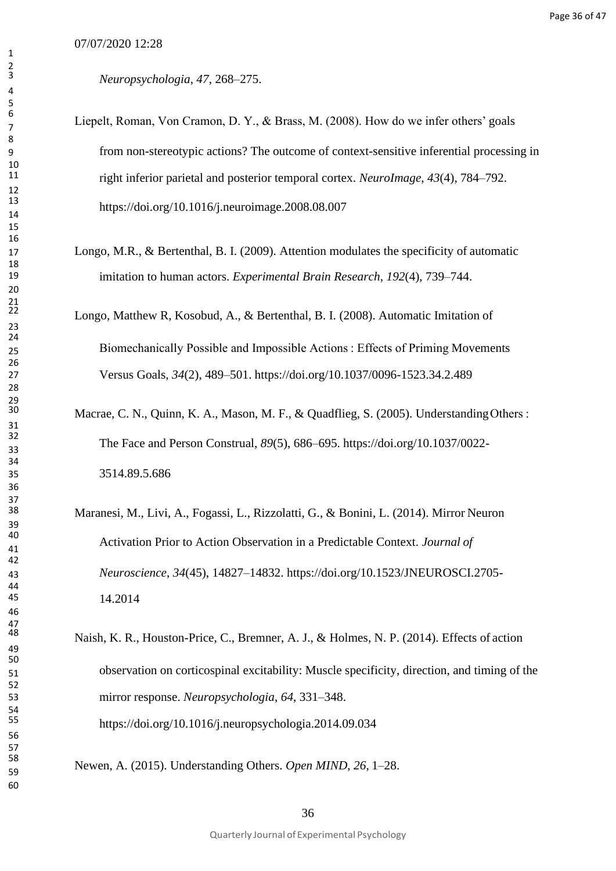*Neuropsychologia*, *47*, 268–275.

- Liepelt, Roman, Von Cramon, D. Y., & Brass, M. (2008). How do we infer others' goals from non-stereotypic actions? The outcome of context-sensitive inferential processing in right inferior parietal and posterior temporal cortex. *NeuroImage*, *43*(4), 784–792. https://doi.org/10.1016/j.neuroimage.2008.08.007
- Longo, M.R., & Bertenthal, B. I. (2009). Attention modulates the specificity of automatic imitation to human actors. *Experimental Brain Research*, *192*(4), 739–744.
- Longo, Matthew R, Kosobud, A., & Bertenthal, B. I. (2008). Automatic Imitation of Biomechanically Possible and Impossible Actions : Effects of Priming Movements Versus Goals, *34*(2), 489–501. https://doi.org/10.1037/0096-1523.34.2.489
- Macrae, C. N., Quinn, K. A., Mason, M. F., & Quadflieg, S. (2005). Understanding Others : The Face and Person Construal, *89*(5), 686–695. https://doi.org/10.1037/0022- 3514.89.5.686
- Maranesi, M., Livi, A., Fogassi, L., Rizzolatti, G., & Bonini, L. (2014). Mirror Neuron Activation Prior to Action Observation in a Predictable Context. *Journal of Neuroscience*, *34*(45), 14827–14832. https://doi.org/10.1523/JNEUROSCI.2705- 14.2014
- Naish, K. R., Houston-Price, C., Bremner, A. J., & Holmes, N. P. (2014). Effects of action observation on corticospinal excitability: Muscle specificity, direction, and timing of the mirror response. *Neuropsychologia*, *64*, 331–348. https://doi.org/10.1016/j.neuropsychologia.2014.09.034

Newen, A. (2015). Understanding Others. *Open MIND*, *26*, 1–28.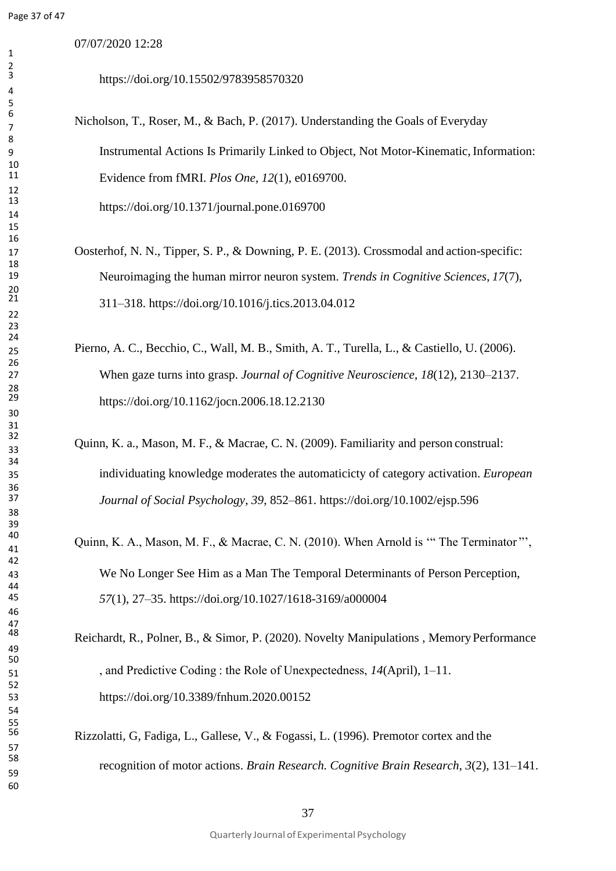07/07/2020 12:28

https://doi.org/10.15502/9783958570320

- Nicholson, T., Roser, M., & Bach, P. (2017). Understanding the Goals of Everyday Instrumental Actions Is Primarily Linked to Object, Not Motor-Kinematic,Information: Evidence from fMRI. *Plos One*, *12*(1), e0169700. https://doi.org/10.1371/journal.pone.0169700
- Oosterhof, N. N., Tipper, S. P., & Downing, P. E. (2013). Crossmodal and action-specific: Neuroimaging the human mirror neuron system. *Trends in Cognitive Sciences*, *17*(7), 311–318. https://doi.org/10.1016/j.tics.2013.04.012
- Pierno, A. C., Becchio, C., Wall, M. B., Smith, A. T., Turella, L., & Castiello, U. (2006). When gaze turns into grasp. *Journal of Cognitive Neuroscience*, *18*(12), 2130–2137. https://doi.org/10.1162/jocn.2006.18.12.2130
- Quinn, K. a., Mason, M. F., & Macrae, C. N. (2009). Familiarity and person construal: individuating knowledge moderates the automaticicty of category activation. *European Journal of Social Psychology*, *39*, 852–861. https://doi.org/10.1002/ejsp.596
- 40<br>
Quinn, K. A., Mason, M. F., & Macrae, C. N. (2010). When Arnold is "The Terminator". We No Longer See Him as a Man The Temporal Determinants of Person Perception, *57*(1), 27–35. https://doi.org/10.1027/1618-3169/a000004
- Reichardt, R., Polner, B., & Simor, P. (2020). Novelty Manipulations, Memory Performance , and Predictive Coding : the Role of Unexpectedness, *14*(April), 1–11. https://doi.org/10.3389/fnhum.2020.00152
	- Rizzolatti, G, Fadiga, L., Gallese, V., & Fogassi, L. (1996). Premotor cortex and the recognition of motor actions. *Brain Research. Cognitive Brain Research*, *3*(2), 131–141.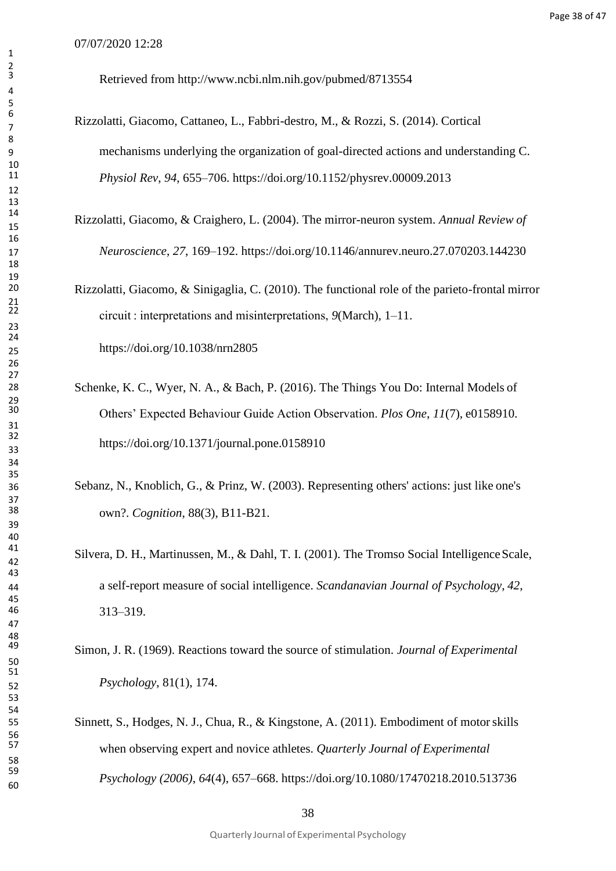Retrieved from <http://www.ncbi.nlm.nih.gov/pubmed/8713554>

- Rizzolatti, Giacomo, Cattaneo, L., Fabbri-destro, M., & Rozzi, S. (2014). Cortical mechanisms underlying the organization of goal-directed actions and understanding C. *Physiol Rev*, *94*, 655–706. https://doi.org/10.1152/physrev.00009.2013
- Rizzolatti, Giacomo, & Craighero, L. (2004). The mirror-neuron system. *Annual Review of Neuroscience*, *27*, 169–192. https://doi.org/10.1146/annurev.neuro.27.070203.144230
- Rizzolatti, Giacomo, & Sinigaglia, C. (2010). The functional role of the parieto-frontal mirror circuit : interpretations and misinterpretations, *9*(March), 1–11. https://doi.org/10.1038/nrn2805
- 28 Schenke, K. C., Wyer, N. A., & Bach, P. (2016). The Things You Do: Internal Models of Others' Expected Behaviour Guide Action Observation. *Plos One*, *11*(7), e0158910. https://doi.org/10.1371/journal.pone.0158910
- Sebanz, N., Knoblich, G., & Prinz, W. (2003). Representing others' actions: just like one's own?. *Cognition*, 88(3), B11-B21.
- Silvera, D. H., Martinussen, M., & Dahl, T. I. (2001). The Tromso Social Intelligence Scale, a self-report measure of social intelligence. *Scandanavian Journal of Psychology*, *42*, 313–319.
- Simon, J. R. (1969). Reactions toward the source of stimulation. *Journal of Experimental Psychology*, 81(1), 174.
- Sinnett, S., Hodges, N. J., Chua, R., & Kingstone, A. (2011). Embodiment of motorskills when observing expert and novice athletes. *Quarterly Journal of Experimental Psychology (2006)*, *64*(4), 657–668. https://doi.org/10.1080/17470218.2010.513736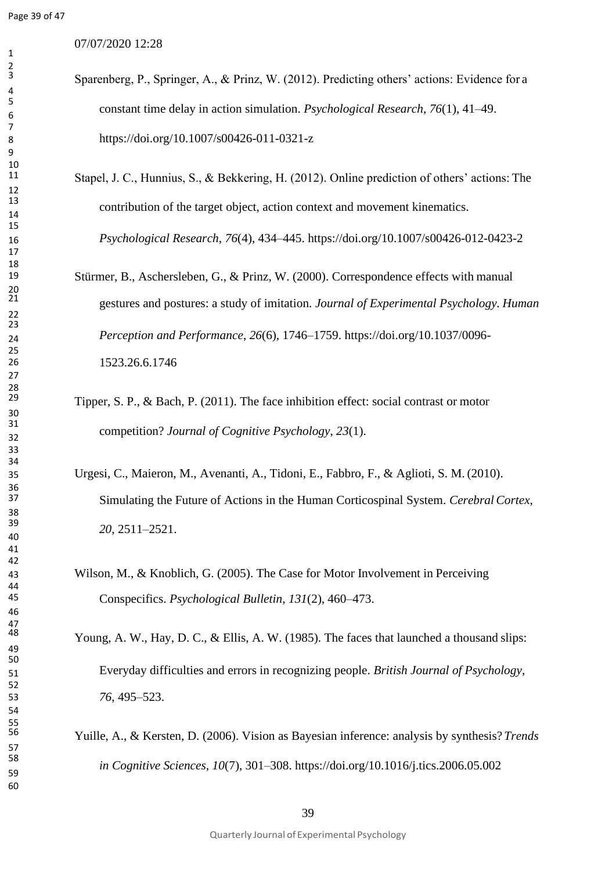$\frac{2}{3}$  07/07/2020 12:28

- Sparenberg, P., Springer, A., & Prinz, W. (2012). Predicting others' actions: Evidence for a constant time delay in action simulation. *Psychological Research*, *76*(1), 41–49. https://doi.org/10.1007/s00426-011-0321-z
- Stapel, J. C., Hunnius, S., & Bekkering, H. (2012). Online prediction of others' actions: The contribution of the target object, action context and movement kinematics. *Psychological Research*, *76*(4), 434–445. https://doi.org/10.1007/s00426-012-0423-2
- Stürmer, B., Aschersleben, G., & Prinz, W. (2000). Correspondence effects with manual gestures and postures: a study of imitation. *Journal of Experimental Psychology. Human Perception and Performance*, *26*(6), 1746–1759. https://doi.org/10.1037/0096- 1523.26.6.1746
	- Tipper, S. P., & Bach, P. (2011). The face inhibition effect: social contrast or motor competition? *Journal of Cognitive Psychology*, *<sup>23</sup>*(1).
- Urgesi, C., Maieron, M., Avenanti, A., Tidoni, E., Fabbro, F., & Aglioti, S. M.(2010). Simulating the Future of Actions in the Human Corticospinal System. *CerebralCortex*, *20*, 2511–2521.
- Wilson, M., & Knoblich, G. (2005). The Case for Motor Involvement in Perceiving Conspecifics. *Psychological Bulletin*, *131*(2), 460–473.

Young, A. W., Hay, D. C., & Ellis, A. W. (1985). The faces that launched a thousand slips: Everyday difficulties and errors in recognizing people. *British Journal of Psychology*, *76*, 495–523.

> Yuille, A., & Kersten, D. (2006). Vision as Bayesian inference: analysis by synthesis? *Trends in Cognitive Sciences*, *10*(7), 301–308. https://doi.org/10.1016/j.tics.2006.05.002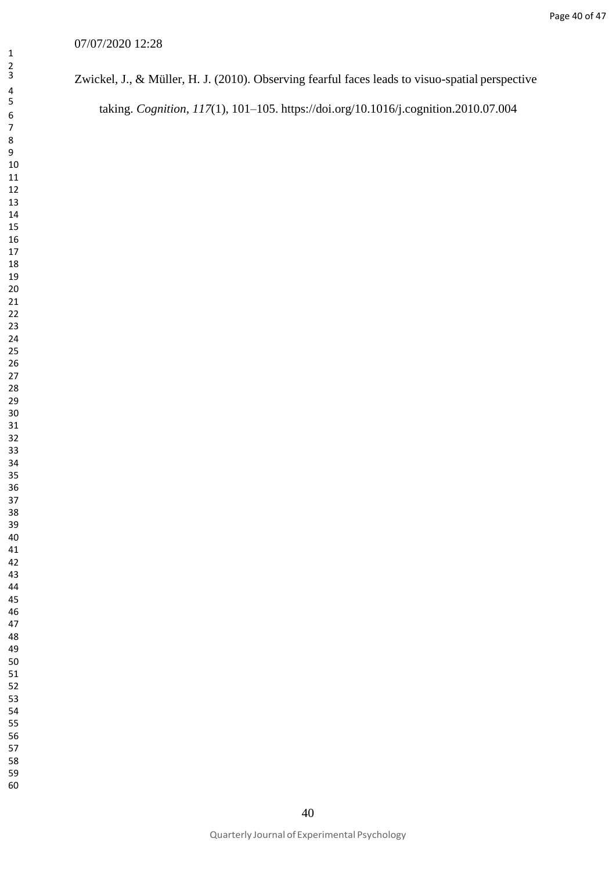Page 40 of 47

#### 07/07/2020 12:28

## Zwickel, J., & Müller, H. J. (2010). Observing fearful faces leads to visuo-spatial perspective

taking. *Cognition*, *117*(1), 101–105. https://doi.org/10.1016/j.cognition.2010.07.004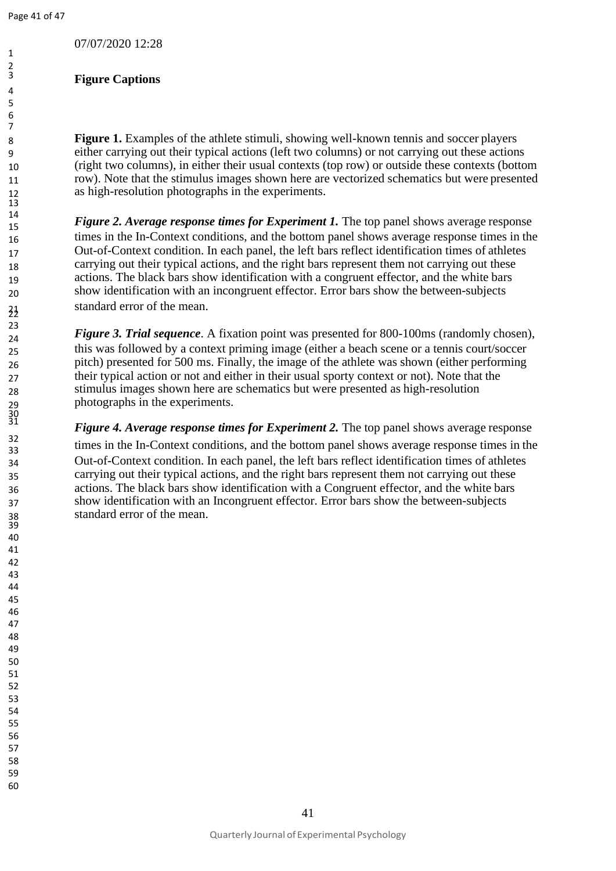## **Figure Captions**

 **Figure 1.** Examples of the athlete stimuli, showing well-known tennis and soccer players either carrying out their typical actions (left two columns) or not carrying out these actions (right two columns), in either their usual contexts (top row) or outside these contexts (bottom row). Note that the stimulus images shown here are vectorized schematics but were presented as high-resolution photographs in the experiments.

 *Figure 2. Average response times for Experiment 1.* The top panel shows average response 16 times in the In-Context conditions, and the bottom panel shows average response times in the Out-of-Context condition. In each panel, the left bars reflect identification times of athletes 18 carrying out their typical actions, and the right bars represent them not carrying out these actions. The black bars show identification with a congruent effector, and the white bars show identification with an incongruent effector. Error bars show the between-subjects standard error of the mean.

**Figure 3. Trial sequence**. A fixation point was presented for 800-100ms (randomly chosen), this was followed by a context priming image (either a beach scene or a tennis court/soccer pitch) presented for 500 ms. Finally, the image of the athlete was shown (either performing their typical action or not and either in their usual sporty context or not). Note that the stimulus images shown here are schematics but were presented as high-resolution photographs in the experiments.

<sup>31</sup> **Figure 4. Average response times for Experiment 2.** The top panel shows average response 32 times in the In-Context conditions, and the bottom panel shows average response times in the Out-of-Context condition. In each panel, the left bars reflect identification times of athletes carrying out their typical actions, and the right bars represent them not carrying out these actions. The black bars show identification with a Congruent effector, and the white bars show identification with an Incongruent effector. Error bars show the between-subjects standard error of the mean.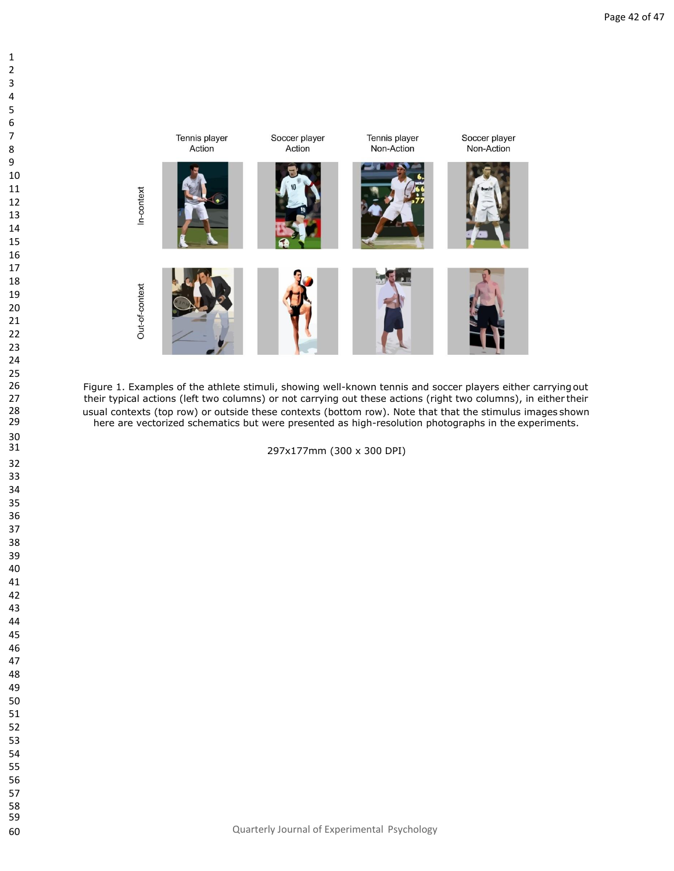



stimuli,<br>mns) or<br>e these<br>but were 26 Figure 1. Examples of the athlete stimuli, showing well-known tennis and soccer players either carrying out<br>27 their typical actions (left two columns) or not carrying out these actions (right two columns), in either th their typical actions (left two columns) or not carrying out these actions (right two columns), in either their 28 usual contexts (top row) or outside these contexts (bottom row). Note that that the stimulus images shown<br>29 here are vectorized schematics but were presented as high-resolution photographs in the experiments. here are vectorized schematics but were presented as high-resolution photographs in the experiments.

31<br>32<br>33<br>33<br>34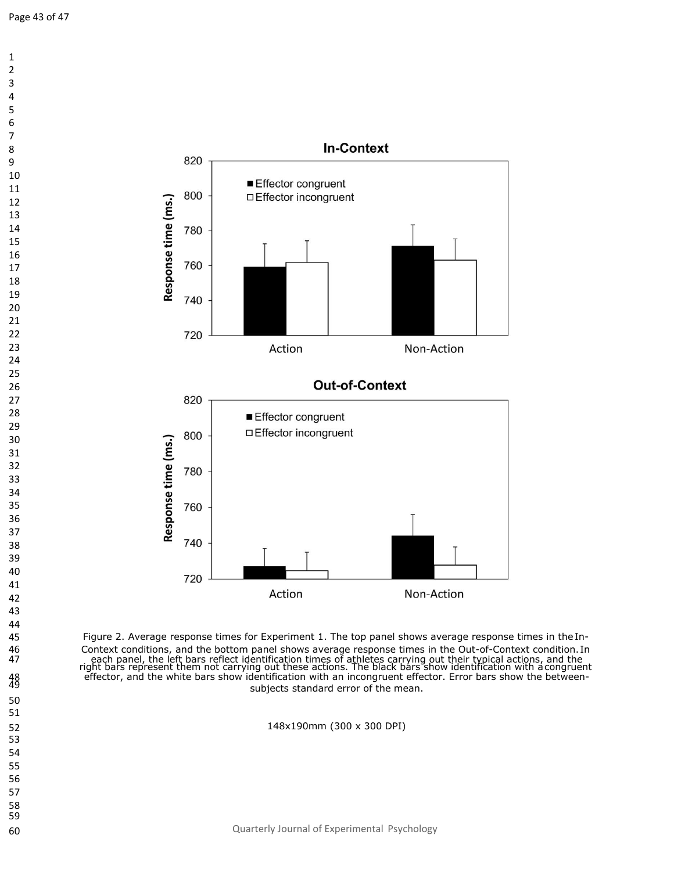

 Figure 2. Average response times for Experiment 1. The top panel shows average response times in theIn-46 Context conditions, and the bottom panel shows average response times in the Out-of-Context condition. In<br>47 each panel, the left bars reflect identification times of athletes carrying out their typical actions, and the each panel, the left bars reflect identification times of athletes carrying out their typical actions, and the<br>right bars represent them not carrying out these actions. The black bars show identification with acongruent effector, and the white bars show identification with an incongruent effector. Error bars show the betweensubjects standard error of the mean.

148x190mm (300 x 300 DPI)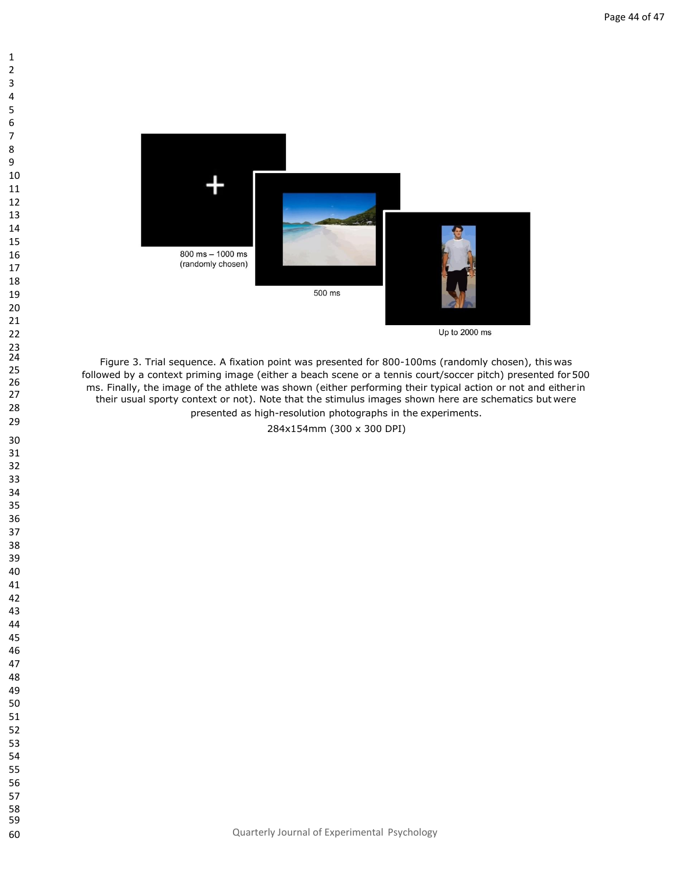

Up to 2000 ms

followed by a context priming image (either a beach scene or a tennis court/soccer pitch) presented for 50<br>ms. Finally, the image of the athlete was shown (either performing their typical action or not and either in<br>their 25 followed by a context priming image (either a beach scene or a tennis court/soccer pitch) presented for 500<br>26 metal in the investor priming image (either a beach scene or a tennis court/soccer pitch) presented for 500 27 their usual sporty context or not). Note that the stimulus images shown here are schematics but were<br>their usual sporty context or not). Note that the stimulus images shown here are schematics but were presented as high-resolution photographs in the experiments.

284x154mm (300 x 300 DPI)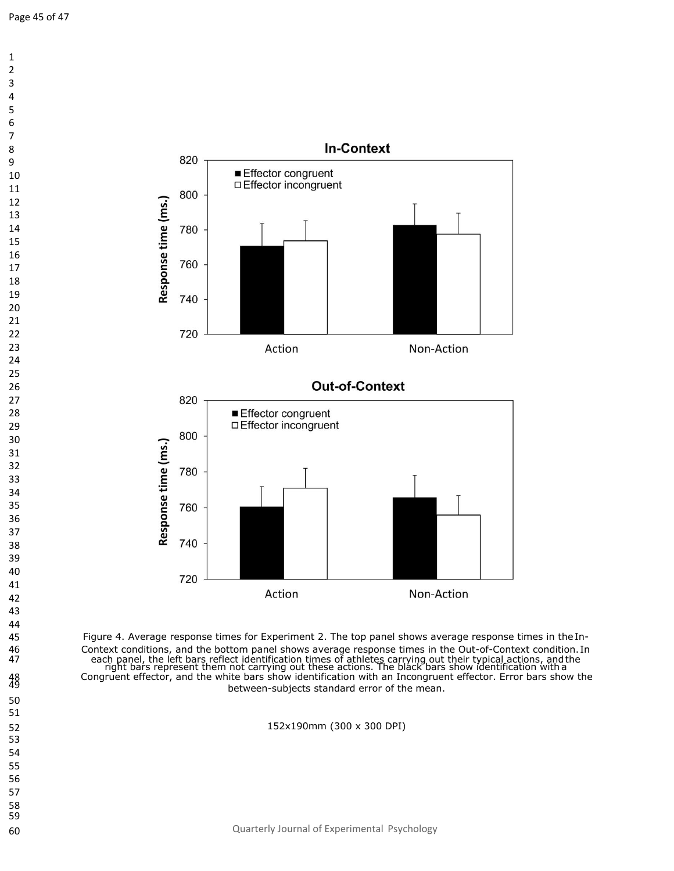

 Figure 4. Average response times for Experiment 2. The top panel shows average response times in theIn-46 Context conditions, and the bottom panel shows average response times in the Out-of-Context condition. In<br>47 each panel, the left bars reflect identification times of athletes carrying out their typical actions, and the 47 each panel, the left bars reflect identification times of athletes carrying out their typical actions, and the<br>right bars represent them not carrying out these actions. The black bars show identification with a Congruent effector, and the white bars show identification with an Incongruent effector. Error bars show the between-subjects standard error of the mean.

152x190mm (300 x 300 DPI)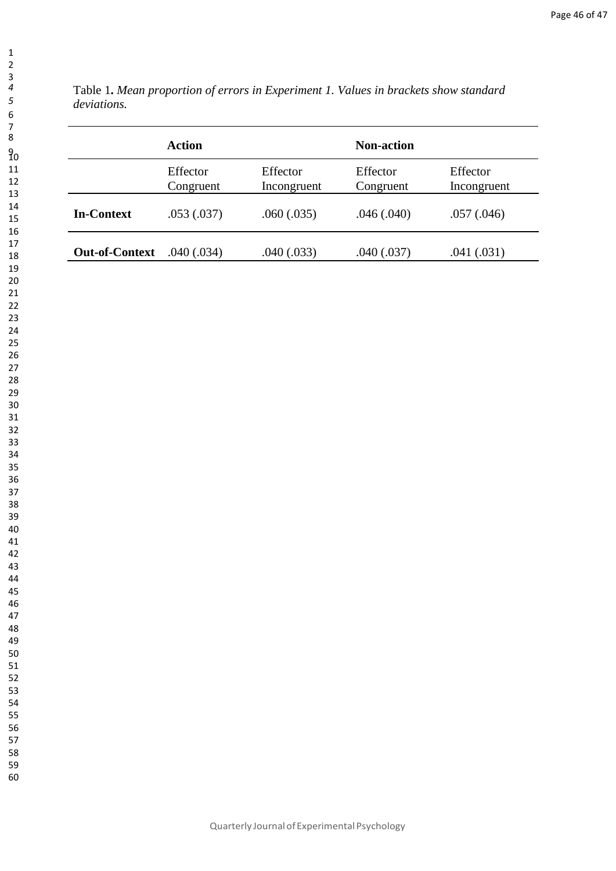Table 1**.** *Mean proportion of errors in Experiment 1. Values in brackets show standard deviations.*

|                       | <b>Action</b>         |                         | <b>Non-action</b>     |                         |
|-----------------------|-----------------------|-------------------------|-----------------------|-------------------------|
|                       | Effector<br>Congruent | Effector<br>Incongruent | Effector<br>Congruent | Effector<br>Incongruent |
| <b>In-Context</b>     | .053(.037)            | .060(.035)              | .046(.040)            | .057(.046)              |
| <b>Out-of-Context</b> | .040 (.034)           | .040(.033)              | .040(.037)            | .041(.031)              |